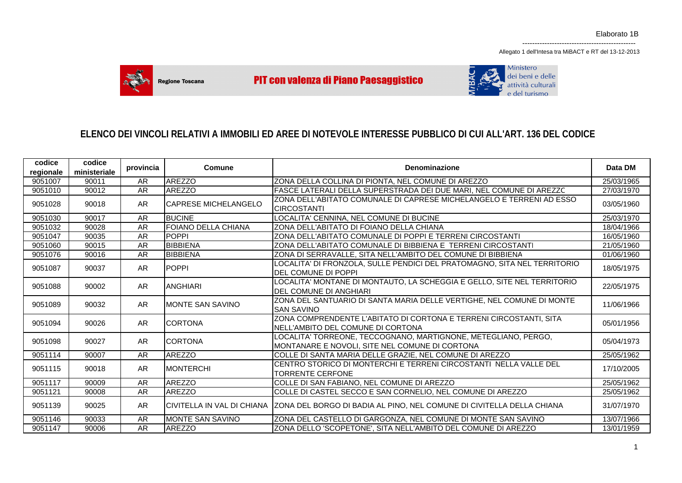Allegato 1 dell'Intesa tra MiBACT e RT del 13-12-2013

----------------------------------------------



**PIT con valenza di Piano Paesaggistico** 



# **ELENCO DEI VINCOLI RELATIVI A IMMOBILI ED AREE DI NOTEVOLE INTERESSE PUBBLICO DI CUI ALL'ART. 136 DEL CODICE**

| codice    | codice       | provincia | Comune                      | Denominazione                                                                                                    | Data DM    |
|-----------|--------------|-----------|-----------------------------|------------------------------------------------------------------------------------------------------------------|------------|
| regionale | ministeriale |           |                             |                                                                                                                  |            |
| 9051007   | 90011        | AR        | <b>AREZZO</b>               | ZONA DELLA COLLINA DI PIONTA, NEL COMUNE DI AREZZO                                                               | 25/03/1965 |
| 9051010   | 90012        | AR        | <b>AREZZO</b>               | FASCE LATERALI DELLA SUPERSTRADA DEI DUE MARI, NEL COMUNE DI AREZZC                                              | 27/03/1970 |
| 9051028   | 90018        | AR        | <b>CAPRESE MICHELANGELO</b> | ZONA DELL'ABITATO COMUNALE DI CAPRESE MICHELANGELO E TERRENI AD ESSO<br><b>CIRCOSTANTI</b>                       | 03/05/1960 |
| 9051030   | 90017        | <b>AR</b> | <b>BUCINE</b>               | LOCALITA' CENNINA, NEL COMUNE DI BUCINE                                                                          | 25/03/1970 |
| 9051032   | 90028        | AR        | <b>FOIANO DELLA CHIANA</b>  | IZONA DELL'ABITATO DI FOIANO DELLA CHIANA                                                                        | 18/04/1966 |
| 9051047   | 90035        | <b>AR</b> | POPPI                       | ZONA DELL'ABITATO COMUNALE DI POPPI E TERRENI CIRCOSTANTI                                                        | 16/05/1960 |
| 9051060   | 90015        | AR        | <b>BIBBIENA</b>             | IZONA DELL'ABITATO COMUNALE DI BIBBIENA E  TERRENI CIRCOSTANTI                                                   | 21/05/1960 |
| 9051076   | 90016        | <b>AR</b> | <b>BIBBIENA</b>             | ZONA DI SERRAVALLE, SITA NELL'AMBITO DEL COMUNE DI BIBBIENA                                                      | 01/06/1960 |
| 9051087   | 90037        | AR        | <b>POPPI</b>                | LOCALITA' DI FRONZOLA, SULLE PENDICI DEL PRATOMAGNO, SITA NEL TERRITORIO<br><b>DEL COMUNE DI POPPI</b>           | 18/05/1975 |
| 9051088   | 90002        | AR.       | <b>ANGHIARI</b>             | LOCALITA' MONTANE DI MONTAUTO, LA SCHEGGIA E GELLO, SITE NEL TERRITORIO<br><b>IDEL COMUNE DI ANGHIARI</b>        | 22/05/1975 |
| 9051089   | 90032        | AR.       | <b>IMONTE SAN SAVINO</b>    | ZONA DEL SANTUARIO DI SANTA MARIA DELLE VERTIGHE, NEL COMUNE DI MONTE<br><b>SAN SAVINO</b>                       | 11/06/1966 |
| 9051094   | 90026        | AR.       | <b>CORTONA</b>              | ZONA COMPRENDENTE L'ABITATO DI CORTONA E TERRENI CIRCOSTANTI, SITA<br>INELL'AMBITO DEL COMUNE DI CORTONA         | 05/01/1956 |
| 9051098   | 90027        | AR.       | <b>CORTONA</b>              | LOCALITA' TORREONE, TECCOGNANO, MARTIGNONE, METEGLIANO, PERGO,<br>MONTANARE E NOVOLI, SITE NEL COMUNE DI CORTONA | 05/04/1973 |
| 9051114   | 90007        | AR        | <b>AREZZO</b>               | COLLE DI SANTA MARIA DELLE GRAZIE, NEL COMUNE DI AREZZO                                                          | 25/05/1962 |
| 9051115   | 90018        | <b>AR</b> | <b>MONTERCHI</b>            | CENTRO STORICO DI MONTERCHI E TERRENI CIRCOSTANTI NELLA VALLE DEL<br><b>TORRENTE CERFONE</b>                     | 17/10/2005 |
| 9051117   | 90009        | AR        | <b>AREZZO</b>               | COLLE DI SAN FABIANO, NEL COMUNE DI AREZZO                                                                       | 25/05/1962 |
| 9051121   | 90008        | AR        | <b>AREZZO</b>               | COLLE DI CASTEL SECCO E SAN CORNELIO, NEL COMUNE DI AREZZO                                                       | 25/05/1962 |
| 9051139   | 90025        | <b>AR</b> |                             | CIVITELLA IN VAL DI CHIANA   ZONA DEL BORGO DI BADIA AL PINO, NEL COMUNE DI CIVITELLA DELLA CHIANA               | 31/07/1970 |
| 9051146   | 90033        | <b>AR</b> | <b>MONTE SAN SAVINO</b>     | ZONA DEL CASTELLO DI GARGONZA, NEL COMUNE DI MONTE SAN SAVINO                                                    | 13/07/1966 |
| 9051147   | 90006        | AR        | <b>AREZZO</b>               | ZONA DELLO 'SCOPETONE', SITA NELL'AMBITO DEL COMUNE DI AREZZO                                                    | 13/01/1959 |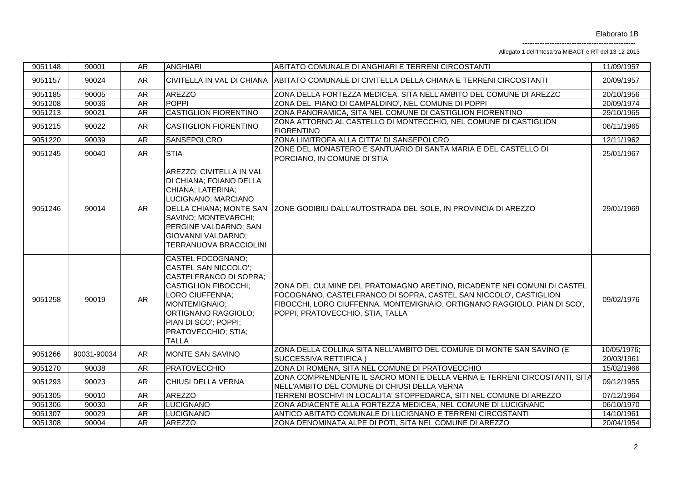Allegato 1 dell'Intesa tra MiBACT e RT del 13-12-2013

| 9051148 | 90001       | <b>AR</b> | <b>ANGHIARI</b>                                                                                                                                                                                                                                         | ABITATO COMUNALE DI ANGHIARI E TERRENI CIRCOSTANTI                                                                                                                                                                                                            | 11/09/1957                |
|---------|-------------|-----------|---------------------------------------------------------------------------------------------------------------------------------------------------------------------------------------------------------------------------------------------------------|---------------------------------------------------------------------------------------------------------------------------------------------------------------------------------------------------------------------------------------------------------------|---------------------------|
| 9051157 | 90024       | AR        |                                                                                                                                                                                                                                                         | CIVITELLA IN VAL DI CHIANA  ABITATO COMUNALE DI CIVITELLA DELLA CHIANA E TERRENI CIRCOSTANTI                                                                                                                                                                  | 20/09/1957                |
| 9051185 | 90005       | AR        | <b>AREZZO</b>                                                                                                                                                                                                                                           | ZONA DELLA FORTEZZA MEDICEA, SITA NELL'AMBITO DEL COMUNE DI AREZZO                                                                                                                                                                                            | 20/10/1956                |
| 9051208 | 90036       | AR        | <b>POPPI</b>                                                                                                                                                                                                                                            | ZONA DEL 'PIANO DI CAMPALDINO', NEL COMUNE DI POPPI                                                                                                                                                                                                           | 20/09/1974                |
| 9051213 | 90021       | AR        | <b>CASTIGLION FIORENTINO</b>                                                                                                                                                                                                                            | ZONA PANORAMICA, SITA NEL COMUNE DI CASTIGLION FIORENTINO                                                                                                                                                                                                     | 29/10/1965                |
| 9051215 | 90022       | <b>AR</b> | <b>CASTIGLION FIORENTINO</b>                                                                                                                                                                                                                            | ZONA ATTORNO AL CASTELLO DI MONTECCHIO, NEL COMUNE DI CASTIGLION<br><b>FIORENTINO</b>                                                                                                                                                                         | 06/11/1965                |
| 9051220 | 90039       | <b>AR</b> | SANSEPOLCRO                                                                                                                                                                                                                                             | ZONA LIMITROFA ALLA CITTA' DI SANSEPOLCRO                                                                                                                                                                                                                     | 12/11/1962                |
| 9051245 | 90040       | AR        | <b>STIA</b>                                                                                                                                                                                                                                             | ZONE DEL MONASTERO E SANTUARIO DI SANTA MARIA E DEL CASTELLO DI<br>PORCIANO, IN COMUNE DI STIA                                                                                                                                                                | 25/01/1967                |
| 9051246 | 90014       | AR        | AREZZO; CIVITELLA IN VAL<br>DI CHIANA; FOIANO DELLA<br>CHIANA; LATERINA;<br>LUCIGNANO; MARCIANO<br>SAVINO; MONTEVARCHI;<br>PERGINE VALDARNO; SAN<br><b>GIOVANNI VALDARNO;</b><br><b>TERRANUOVA BRACCIOLINI</b>                                          | DELLA CHIANA; MONTE SAN   ZONE GODIBILI DALL'AUTOSTRADA DEL SOLE, IN PROVINCIA DI AREZZO                                                                                                                                                                      | 29/01/1969                |
| 9051258 | 90019       | AR        | <b>CASTEL FOCOGNANO:</b><br><b>CASTEL SAN NICCOLO:</b><br><b>CASTELFRANCO DI SOPRA:</b><br><b>CASTIGLION FIBOCCHI;</b><br>LORO CIUFFENNA;<br>MONTEMIGNAIO;<br><b>ORTIGNANO RAGGIOLO:</b><br>PIAN DI SCO'; POPPI;<br>PRATOVECCHIO; STIA;<br><b>TALLA</b> | ZONA DEL CULMINE DEL PRATOMAGNO ARETINO, RICADENTE NEI COMUNI DI CASTEL<br>FOCOGNANO, CASTELFRANCO DI SOPRA, CASTEL SAN NICCOLO', CASTIGLION<br>FIBOCCHI, LORO CIUFFENNA, MONTEMIGNAIO, ORTIGNANO RAGGIOLO, PIAN DI SCO',<br>POPPI, PRATOVECCHIO, STIA, TALLA | 09/02/1976                |
| 9051266 | 90031-90034 | AR        | MONTE SAN SAVINO                                                                                                                                                                                                                                        | ZONA DELLA COLLINA SITA NELL'AMBITO DEL COMUNE DI MONTE SAN SAVINO (E<br><b>SUCCESSIVA RETTIFICA)</b>                                                                                                                                                         | 10/05/1976;<br>20/03/1961 |
| 9051270 | 90038       | AR        | <b>PRATOVECCHIO</b>                                                                                                                                                                                                                                     | ZONA DI ROMENA, SITA NEL COMUNE DI PRATOVECCHIO                                                                                                                                                                                                               | 15/02/1966                |
| 9051293 | 90023       | AR        | CHIUSI DELLA VERNA                                                                                                                                                                                                                                      | ZONA COMPRENDENTE IL SACRO MONTE DELLA VERNA E TERRENI CIRCOSTANTI, SITA<br>NELL'AMBITO DEL COMUNE DI CHIUSI DELLA VERNA                                                                                                                                      | 09/12/1955                |
| 9051305 | 90010       | AR        | <b>AREZZO</b>                                                                                                                                                                                                                                           | TERRENI BOSCHIVI IN LOCALITA' STOPPEDARCA, SITI NEL COMUNE DI AREZZO                                                                                                                                                                                          | 07/12/1964                |
| 9051306 | 90030       | AR        | <b>LUCIGNANO</b>                                                                                                                                                                                                                                        | ZONA ADIACENTE ALLA FORTEZZA MEDICEA, NEL COMUNE DI LUCIGNANO                                                                                                                                                                                                 | 06/10/1970                |
| 9051307 | 90029       | AR        | <b>LUCIGNANO</b>                                                                                                                                                                                                                                        | ANTICO ABITATO COMUNALE DI LUCIGNANO E TERRENI CIRCOSTANTI                                                                                                                                                                                                    | 14/10/1961                |
| 9051308 | 90004       | <b>AR</b> | <b>AREZZO</b>                                                                                                                                                                                                                                           | ZONA DENOMINATA ALPE DI POTI, SITA NEL COMUNE DI AREZZO                                                                                                                                                                                                       | 20/04/1954                |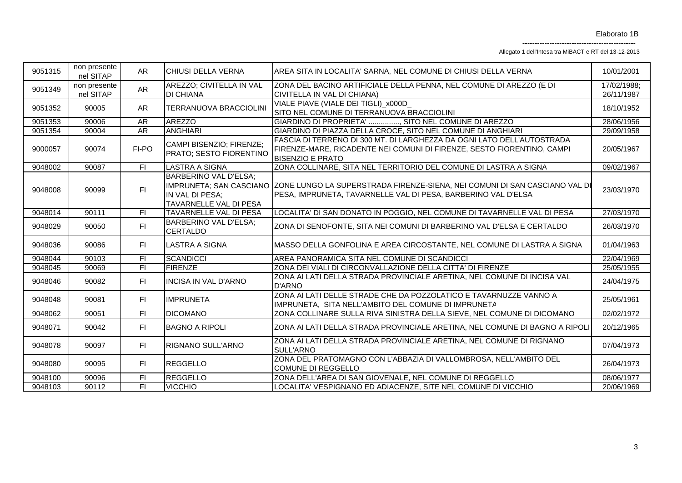Allegato 1 dell'Intesa tra MiBACT e RT del 13-12-2013

| 9051315 | non presente<br>nel SITAP | AR.            | <b>CHIUSI DELLA VERNA</b>                                                 | AREA SITA IN LOCALITA' SARNA, NEL COMUNE DI CHIUSI DELLA VERNA                                                                                                              | 10/01/2001                |
|---------|---------------------------|----------------|---------------------------------------------------------------------------|-----------------------------------------------------------------------------------------------------------------------------------------------------------------------------|---------------------------|
| 9051349 | non presente<br>nel SITAP | AR             | AREZZO; CIVITELLA IN VAL<br><b>DI CHIANA</b>                              | ZONA DEL BACINO ARTIFICIALE DELLA PENNA, NEL COMUNE DI AREZZO (E DI<br>CIVITELLA IN VAL DI CHIANA)                                                                          | 17/02/1988;<br>26/11/1987 |
| 9051352 | 90005                     | AR             | TERRANUOVA BRACCIOLINI                                                    | VIALE PIAVE (VIALE DEI TIGLI) x000D<br>SITO NEL COMUNE DI TERRANUOVA BRACCIOLINI                                                                                            | 18/10/1952                |
| 9051353 | 90006                     | <b>AR</b>      | <b>AREZZO</b>                                                             | GIARDINO DI PROPRIETA' , SITO NEL COMUNE DI AREZZO                                                                                                                          | 28/06/1956                |
| 9051354 | 90004                     | AR             | <b>ANGHIARI</b>                                                           | GIARDINO DI PIAZZA DELLA CROCE, SITO NEL COMUNE DI ANGHIARI                                                                                                                 | 29/09/1958                |
| 9000057 | 90074                     | FI-PO          | CAMPI BISENZIO; FIRENZE;<br>PRATO; SESTO FIORENTINO                       | FASCIA DI TERRENO DI 300 MT. DI LARGHEZZA DA OGNI LATO DELL'AUTOSTRADA<br>FIRENZE-MARE, RICADENTE NEI COMUNI DI FIRENZE, SESTO FIORENTINO, CAMPI<br><b>BISENZIO E PRATO</b> | 20/05/1967                |
| 9048002 | 90087                     | $\overline{F}$ | <b>LASTRA A SIGNA</b>                                                     | ZONA COLLINARE, SITA NEL TERRITORIO DEL COMUNE DI LASTRA A SIGNA                                                                                                            | 09/02/1967                |
| 9048008 | 90099                     | F1             | <b>BARBERINO VAL D'ELSA;</b><br>IN VAL DI PESA:<br>TAVARNELLE VAL DI PESA | IMPRUNETA; SAN CASCIANO  ZONE LUNGO LA SUPERSTRADA FIRENZE-SIENA, NEI COMUNI DI SAN CASCIANO VAL DI<br>PESA, IMPRUNETA, TAVARNELLE VAL DI PESA, BARBERINO VAL D'ELSA        | 23/03/1970                |
| 9048014 | 90111                     | FI.            | TAVARNELLE VAL DI PESA                                                    | LOCALITA' DI SAN DONATO IN POGGIO, NEL COMUNE DI TAVARNELLE VAL DI PESA                                                                                                     | 27/03/1970                |
| 9048029 | 90050                     | FI.            | BARBERINO VAL D'ELSA;<br><b>CERTALDO</b>                                  | ZONA DI SENOFONTE, SITA NEI COMUNI DI BARBERINO VAL D'ELSA E CERTALDO                                                                                                       | 26/03/1970                |
| 9048036 | 90086                     | FI.            | <b>LASTRA A SIGNA</b>                                                     | MASSO DELLA GONFOLINA E AREA CIRCOSTANTE, NEL COMUNE DI LASTRA A SIGNA                                                                                                      | 01/04/1963                |
| 9048044 | 90103                     | $\overline{F}$ | <b>SCANDICCI</b>                                                          | AREA PANORAMICA SITA NEL COMUNE DI SCANDICCI                                                                                                                                | 22/04/1969                |
| 9048045 | 90069                     | $\overline{F}$ | <b>FIRENZE</b>                                                            | ZONA DEI VIALI DI CIRCONVALLAZIONE DELLA CITTA' DI FIRENZE                                                                                                                  | 25/05/1955                |
| 9048046 | 90082                     | FI.            | <b>INCISA IN VAL D'ARNO</b>                                               | ZONA AI LATI DELLA STRADA PROVINCIALE ARETINA, NEL COMUNE DI INCISA VAL<br><b>D'ARNO</b>                                                                                    | 24/04/1975                |
| 9048048 | 90081                     | FI.            | <b>IMPRUNETA</b>                                                          | ZONA AI LATI DELLE STRADE CHE DA POZZOLATICO E TAVARNUZZE VANNO A<br>IMPRUNETA, SITA NELL'AMBITO DEL COMUNE DI IMPRUNETA                                                    | 25/05/1961                |
| 9048062 | 90051                     | FI             | <b>DICOMANO</b>                                                           | ZONA COLLINARE SULLA RIVA SINISTRA DELLA SIEVE, NEL COMUNE DI DICOMANO                                                                                                      | 02/02/1972                |
| 9048071 | 90042                     | F1             | <b>IBAGNO A RIPOLI</b>                                                    | ZONA AI LATI DELLA STRADA PROVINCIALE ARETINA, NEL COMUNE DI BAGNO A RIPOLI                                                                                                 | 20/12/1965                |
| 9048078 | 90097                     | FI.            | <b>RIGNANO SULL'ARNO</b>                                                  | ZONA AI LATI DELLA STRADA PROVINCIALE ARETINA, NEL COMUNE DI RIGNANO<br>SULL'ARNO                                                                                           | 07/04/1973                |
| 9048080 | 90095                     | FI.            | <b>REGGELLO</b>                                                           | ZONA DEL PRATOMAGNO CON L'ABBAZIA DI VALLOMBROSA, NELL'AMBITO DEL<br>COMUNE DI REGGELLO                                                                                     | 26/04/1973                |
| 9048100 | 90096                     | FI             | <b>REGGELLO</b>                                                           | ZONA DELL'AREA DI SAN GIOVENALE, NEL COMUNE DI REGGELLO                                                                                                                     | 08/06/1977                |
| 9048103 | 90112                     | $\overline{F}$ | <b>VICCHIO</b>                                                            | LOCALITA' VESPIGNANO ED ADIACENZE, SITE NEL COMUNE DI VICCHIO                                                                                                               | 20/06/1969                |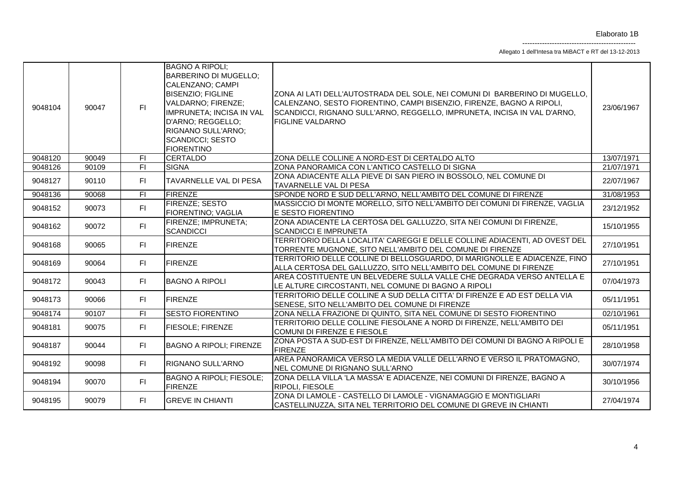Allegato 1 dell'Intesa tra MiBACT e RT del 13-12-2013

| 9048104 | 90047 | F1             | <b>BAGNO A RIPOLI:</b><br><b>BARBERINO DI MUGELLO;</b><br>CALENZANO; CAMPI<br><b>BISENZIO; FIGLINE</b><br>VALDARNO; FIRENZE;<br><b>IMPRUNETA; INCISA IN VAL</b><br>D'ARNO; REGGELLO;<br>RIGNANO SULL'ARNO:<br><b>SCANDICCI; SESTO</b><br><b>FIORENTINO</b> | ZONA AI LATI DELL'AUTOSTRADA DEL SOLE, NEI COMUNI DI BARBERINO DI MUGELLO,<br>CALENZANO, SESTO FIORENTINO, CAMPI BISENZIO, FIRENZE, BAGNO A RIPOLI,<br>SCANDICCI, RIGNANO SULL'ARNO, REGGELLO, IMPRUNETA, INCISA IN VAL D'ARNO,<br><b>FIGLINE VALDARNO</b> | 23/06/1967 |
|---------|-------|----------------|------------------------------------------------------------------------------------------------------------------------------------------------------------------------------------------------------------------------------------------------------------|------------------------------------------------------------------------------------------------------------------------------------------------------------------------------------------------------------------------------------------------------------|------------|
| 9048120 | 90049 | F              | <b>CERTALDO</b>                                                                                                                                                                                                                                            | ZONA DELLE COLLINE A NORD-EST DI CERTALDO ALTO                                                                                                                                                                                                             | 13/07/1971 |
| 9048126 | 90109 | F1             | <b>SIGNA</b>                                                                                                                                                                                                                                               | ZONA PANORAMICA CON L'ANTICO CASTELLO DI SIGNA                                                                                                                                                                                                             | 21/07/1971 |
| 9048127 | 90110 | F1             | TAVARNELLE VAL DI PESA                                                                                                                                                                                                                                     | ZONA ADIACENTE ALLA PIEVE DI SAN PIERO IN BOSSOLO, NEL COMUNE DI<br>TAVARNELLE VAL DI PESA                                                                                                                                                                 | 22/07/1967 |
| 9048136 | 90068 | $\overline{F}$ | <b>FIRENZE</b>                                                                                                                                                                                                                                             | SPONDE NORD E SUD DELL'ARNO, NELL'AMBITO DEL COMUNE DI FIRENZE                                                                                                                                                                                             | 31/08/1953 |
| 9048152 | 90073 | F1             | FIRENZE; SESTO<br>FIORENTINO; VAGLIA                                                                                                                                                                                                                       | MASSICCIO DI MONTE MORELLO, SITO NELL'AMBITO DEI COMUNI DI FIRENZE, VAGLIA<br>E SESTO FIORENTINO                                                                                                                                                           | 23/12/1952 |
| 9048162 | 90072 | F1             | FIRENZE; IMPRUNETA;<br><b>SCANDICCI</b>                                                                                                                                                                                                                    | ZONA ADIACENTE LA CERTOSA DEL GALLUZZO, SITA NEI COMUNI DI FIRENZE,<br><b>SCANDICCI E IMPRUNETA</b>                                                                                                                                                        | 15/10/1955 |
| 9048168 | 90065 | F1             | <b>FIRENZE</b>                                                                                                                                                                                                                                             | TERRITORIO DELLA LOCALITA' CAREGGI E DELLE COLLINE ADIACENTI, AD OVEST DEL<br>TORRENTE MUGNONE, SITO NELL'AMBITO DEL COMUNE DI FIRENZE                                                                                                                     | 27/10/1951 |
| 9048169 | 90064 | FI.            | <b>FIRENZE</b>                                                                                                                                                                                                                                             | TERRITORIO DELLE COLLINE DI BELLOSGUARDO. DI MARIGNOLLE E ADIACENZE. FINO<br>ALLA CERTOSA DEL GALLUZZO, SITO NELL'AMBITO DEL COMUNE DI FIRENZE                                                                                                             | 27/10/1951 |
| 9048172 | 90043 | F1             | <b>BAGNO A RIPOLI</b>                                                                                                                                                                                                                                      | AREA COSTITUENTE UN BELVEDERE SULLA VALLE CHE DEGRADA VERSO ANTELLA E<br>LE ALTURE CIRCOSTANTI, NEL COMUNE DI BAGNO A RIPOLI                                                                                                                               | 07/04/1973 |
| 9048173 | 90066 | F1             | <b>FIRENZE</b>                                                                                                                                                                                                                                             | TERRITORIO DELLE COLLINE A SUD DELLA CITTA' DI FIRENZE E AD EST DELLA VIA<br>SENESE, SITO NELL'AMBITO DEL COMUNE DI FIRENZE                                                                                                                                | 05/11/1951 |
| 9048174 | 90107 | $\overline{F}$ | <b>SESTO FIORENTINO</b>                                                                                                                                                                                                                                    | ZONA NELLA FRAZIONE DI QUINTO, SITA NEL COMUNE DI SESTO FIORENTINO                                                                                                                                                                                         | 02/10/1961 |
| 9048181 | 90075 | F1             | <b>FIESOLE; FIRENZE</b>                                                                                                                                                                                                                                    | TERRITORIO DELLE COLLINE FIESOLANE A NORD DI FIRENZE, NELL'AMBITO DEI<br>COMUNI DI FIRENZE E FIESOLE                                                                                                                                                       | 05/11/1951 |
| 9048187 | 90044 | FI.            | <b>BAGNO A RIPOLI; FIRENZE</b>                                                                                                                                                                                                                             | ZONA POSTA A SUD-EST DI FIRENZE, NELL'AMBITO DEI COMUNI DI BAGNO A RIPOLI E<br><b>FIRENZE</b>                                                                                                                                                              | 28/10/1958 |
| 9048192 | 90098 | FI.            | <b>RIGNANO SULL'ARNO</b>                                                                                                                                                                                                                                   | AREA PANORAMICA VERSO LA MEDIA VALLE DELL'ARNO E VERSO IL PRATOMAGNO.<br>NEL COMUNE DI RIGNANO SULL'ARNO                                                                                                                                                   | 30/07/1974 |
| 9048194 | 90070 | FI.            | <b>BAGNO A RIPOLI; FIESOLE;</b><br><b>FIRENZE</b>                                                                                                                                                                                                          | ZONA DELLA VILLA 'LA MASSA' E ADIACENZE, NEI COMUNI DI FIRENZE, BAGNO A<br><b>RIPOLI, FIESOLE</b>                                                                                                                                                          | 30/10/1956 |
| 9048195 | 90079 | F1             | <b>GREVE IN CHIANTI</b>                                                                                                                                                                                                                                    | ZONA DI LAMOLE - CASTELLO DI LAMOLE - VIGNAMAGGIO E MONTIGLIARI<br>CASTELLINUZZA, SITA NEL TERRITORIO DEL COMUNE DI GREVE IN CHIANTI                                                                                                                       | 27/04/1974 |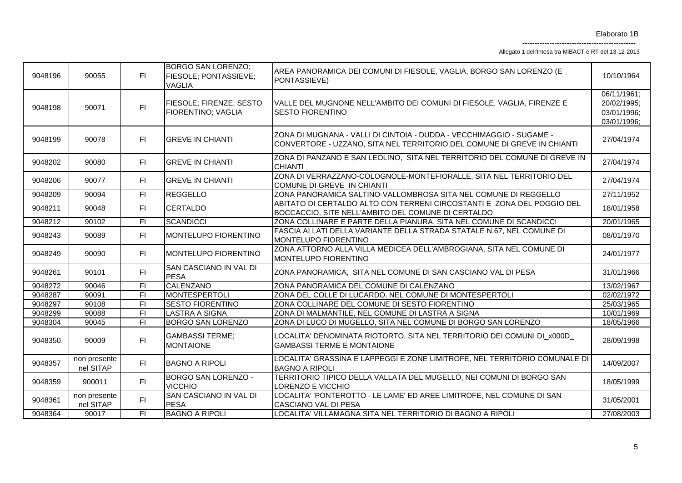Allegato 1 dell'Intesa tra MiBACT e RT del 13-12-2013

| 9048196 | 90055                     | FI.            | <b>BORGO SAN LORENZO;</b><br><b>FIESOLE; PONTASSIEVE;</b><br><b>VAGLIA</b> | AREA PANORAMICA DEI COMUNI DI FIESOLE, VAGLIA, BORGO SAN LORENZO (E<br>PONTASSIEVE)                                                             | 10/10/1964                                               |
|---------|---------------------------|----------------|----------------------------------------------------------------------------|-------------------------------------------------------------------------------------------------------------------------------------------------|----------------------------------------------------------|
| 9048198 | 90071                     | F1             | FIESOLE; FIRENZE; SESTO<br>FIORENTINO; VAGLIA                              | VALLE DEL MUGNONE NELL'AMBITO DEI COMUNI DI FIESOLE, VAGLIA, FIRENZE E<br><b>SESTO FIORENTINO</b>                                               | 06/11/1961;<br>20/02/1995:<br>03/01/1996;<br>03/01/1996; |
| 9048199 | 90078                     | F1             | <b>GREVE IN CHIANTI</b>                                                    | ZONA DI MUGNANA - VALLI DI CINTOIA - DUDDA - VECCHIMAGGIO - SUGAME -<br>CONVERTORE - UZZANO, SITA NEL TERRITORIO DEL COMUNE DI GREVE IN CHIANTI | 27/04/1974                                               |
| 9048202 | 90080                     | FI.            | <b>IGREVE IN CHIANTI</b>                                                   | ZONA DI PANZANO E SAN LEOLINO, SITA NEL TERRITORIO DEL COMUNE DI GREVE IN<br><b>CHIANTI</b>                                                     | 27/04/1974                                               |
| 9048206 | 90077                     | FI.            | <b>GREVE IN CHIANTI</b>                                                    | ZONA DI VERRAZZANO-COLOGNOLE-MONTEFIORALLE, SITA NEL TERRITORIO DEL<br>COMUNE DI GREVE IN CHIANTI                                               | 27/04/1974                                               |
| 9048209 | 90094                     | FI             | <b>REGGELLO</b>                                                            | ZONA PANORAMICA SALTINO-VALLOMBROSA SITA NEL COMUNE DI REGGELLO                                                                                 | 27/11/1952                                               |
| 9048211 | 90048                     | FI.            | <b>CERTALDO</b>                                                            | ABITATO DI CERTALDO ALTO CON TERRENI CIRCOSTANTI E ZONA DEL POGGIO DEL<br>BOCCACCIO, SITE NELL'AMBITO DEL COMUNE DI CERTALDO                    | 18/01/1958                                               |
| 9048212 | 90102                     | FI             | <b>SCANDICCI</b>                                                           | ZONA COLLINARE E PARTE DELLA PIANURA, SITA NEL COMUNE DI SCANDICCI                                                                              | 20/01/1965                                               |
| 9048243 | 90089                     | FI.            | <b>IMONTELUPO FIORENTINO</b>                                               | FASCIA AI LATI DELLA VARIANTE DELLA STRADA STATALE N.67, NEL COMUNE DI<br>MONTELUPO FIORENTINO                                                  | 08/01/1970                                               |
| 9048249 | 90090                     | FI.            | MONTELUPO FIORENTINO                                                       | ZONA ATTORNO ALLA VILLA MEDICEA DELL'AMBROGIANA, SITA NEL COMUNE DI<br>MONTELUPO FIORENTINO                                                     | 24/01/1977                                               |
| 9048261 | 90101                     | FI.            | SAN CASCIANO IN VAL DI<br><b>PESA</b>                                      | ZONA PANORAMICA, SITA NEL COMUNE DI SAN CASCIANO VAL DI PESA                                                                                    | 31/01/1966                                               |
| 9048272 | 90046                     | $\overline{F}$ | <b>CALENZANO</b>                                                           | ZONA PANORAMICA DEL COMUNE DI CALENZANO                                                                                                         | 13/02/1967                                               |
| 9048287 | 90091                     | $\overline{F}$ | <b>MONTESPERTOLI</b>                                                       | ZONA DEL COLLE DI LUCARDO, NEL COMUNE DI MONTESPERTOLI                                                                                          | 02/02/1972                                               |
| 9048297 | 90108                     | $\overline{F}$ | <b>SESTO FIORENTINO</b>                                                    | ZONA COLLINARE DEL COMUNE DI SESTO FIORENTINO                                                                                                   | 25/03/1965                                               |
| 9048299 | 90088                     | F1             | <b>LASTRA A SIGNA</b>                                                      | ZONA DI MALMANTILE, NEL COMUNE DI LASTRA A SIGNA                                                                                                | 10/01/1969                                               |
| 9048304 | 90045                     | $\overline{F}$ | <b>BORGO SAN LORENZO</b>                                                   | ZONA DI LUCO DI MUGELLO, SITA NEL COMUNE DI BORGO SAN LORENZO                                                                                   | 18/05/1966                                               |
| 9048350 | 90009                     | FI.            | <b>GAMBASSI TERME;</b><br><b>MONTAIONE</b>                                 | LOCALITA' DENOMINATA RIOTORTO, SITA NEL TERRITORIO DEI COMUNI DI_X000D<br><b>GAMBASSI TERME E MONTAIONE</b>                                     | 28/09/1998                                               |
| 9048357 | non presente<br>nel SITAP | FI.            | <b>BAGNO A RIPOLI</b>                                                      | LOCALITA' GRASSINA E LAPPEGGI E ZONE LIMITROFE, NEL TERRITORIO COMUNALE DI<br><b>BAGNO A RIPOLI</b>                                             | 14/09/2007                                               |
| 9048359 | 900011                    | F1             | <b>BORGO SAN LORENZO -</b><br><b>VICCHIO</b>                               | TERRITORIO TIPICO DELLA VALLATA DEL MUGELLO, NEI COMUNI DI BORGO SAN<br>LORENZO E VICCHIO                                                       | 18/05/1999                                               |
| 9048361 | non presente<br>nel SITAP | FI.            | SAN CASCIANO IN VAL DI<br><b>PESA</b>                                      | LOCALITA' 'PONTEROTTO - LE LAME' ED AREE LIMITROFE, NEL COMUNE DI SAN<br>CASCIANO VAL DI PESA                                                   | 31/05/2001                                               |
| 9048364 | 90017                     | $\overline{F}$ | <b>BAGNO A RIPOLI</b>                                                      | LOCALITA' VILLAMAGNA SITA NEL TERRITORIO DI BAGNO A RIPOLI                                                                                      | 27/08/2003                                               |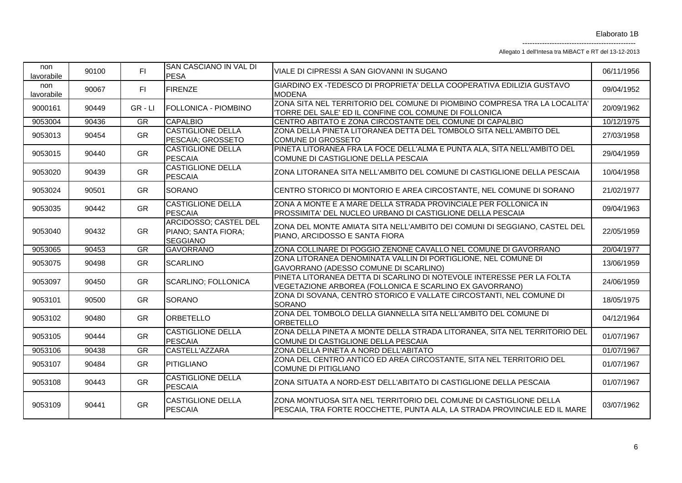Allegato 1 dell'Intesa tra MiBACT e RT del 13-12-2013

| non<br>lavorabile | 90100 | FI                     | SAN CASCIANO IN VAL DI<br><b>PESA</b>                                  | VIALE DI CIPRESSI A SAN GIOVANNI IN SUGANO                                                                                                     | 06/11/1956 |
|-------------------|-------|------------------------|------------------------------------------------------------------------|------------------------------------------------------------------------------------------------------------------------------------------------|------------|
| non<br>lavorabile | 90067 | FI                     | <b>FIRENZE</b>                                                         | GIARDINO EX -TEDESCO DI PROPRIETA' DELLA COOPERATIVA EDILIZIA GUSTAVO<br><b>MODENA</b>                                                         | 09/04/1952 |
| 9000161           | 90449 | $GR - LI$              | FOLLONICA - PIOMBINO                                                   | ZONA SITA NEL TERRITORIO DEL COMUNE DI PIOMBINO COMPRESA TRA LA LOCALITA'<br>TORRE DEL SALE' ED IL CONFINE COL COMUNE DI FOLLONICA             | 20/09/1962 |
| 9053004           | 90436 | $\overline{\text{GR}}$ | <b>CAPALBIO</b>                                                        | CENTRO ABITATO E ZONA CIRCOSTANTE DEL COMUNE DI CAPALBIO                                                                                       | 10/12/1975 |
| 9053013           | 90454 | GR                     | <b>CASTIGLIONE DELLA</b><br>PESCAIA; GROSSETO                          | ZONA DELLA PINETA LITORANEA DETTA DEL TOMBOLO SITA NELL'AMBITO DEL<br>COMUNE DI GROSSETO                                                       | 27/03/1958 |
| 9053015           | 90440 | GR                     | <b>CASTIGLIONE DELLA</b><br><b>PESCAIA</b>                             | PINETA LITORANEA FRA LA FOCE DELL'ALMA E PUNTA ALA, SITA NELL'AMBITO DEL<br>COMUNE DI CASTIGLIONE DELLA PESCAIA                                | 29/04/1959 |
| 9053020           | 90439 | GR                     | <b>CASTIGLIONE DELLA</b><br><b>PESCAIA</b>                             | ZONA LITORANEA SITA NELL'AMBITO DEL COMUNE DI CASTIGLIONE DELLA PESCAIA                                                                        | 10/04/1958 |
| 9053024           | 90501 | <b>GR</b>              | <b>SORANO</b>                                                          | CENTRO STORICO DI MONTORIO E AREA CIRCOSTANTE, NEL COMUNE DI SORANO                                                                            | 21/02/1977 |
| 9053035           | 90442 | <b>GR</b>              | <b>CASTIGLIONE DELLA</b><br>PESCAIA                                    | ZONA A MONTE E A MARE DELLA STRADA PROVINCIALE PER FOLLONICA IN<br>PROSSIMITA' DEL NUCLEO URBANO DI CASTIGLIONE DELLA PESCAIA                  | 09/04/1963 |
| 9053040           | 90432 | <b>GR</b>              | <b>ARCIDOSSO; CASTEL DEL</b><br>PIANO; SANTA FIORA;<br><b>SEGGIANO</b> | ZONA DEL MONTE AMIATA SITA NELL'AMBITO DEI COMUNI DI SEGGIANO, CASTEL DEL<br>PIANO, ARCIDOSSO E SANTA FIORA                                    | 22/05/1959 |
| 9053065           | 90453 | GR                     | <b>GAVORRANO</b>                                                       | ZONA COLLINARE DI POGGIO ZENONE CAVALLO NEL COMUNE DI GAVORRANO                                                                                | 20/04/1977 |
| 9053075           | 90498 | <b>GR</b>              | <b>SCARLINO</b>                                                        | ZONA LITORANEA DENOMINATA VALLIN DI PORTIGLIONE, NEL COMUNE DI<br>GAVORRANO (ADESSO COMUNE DI SCARLINO)                                        | 13/06/1959 |
| 9053097           | 90450 | <b>GR</b>              | <b>SCARLINO; FOLLONICA</b>                                             | PINETA LITORANEA DETTA DI SCARLINO DI NOTEVOLE INTERESSE PER LA FOLTA<br>VEGETAZIONE ARBOREA (FOLLONICA E SCARLINO EX GAVORRANO)               | 24/06/1959 |
| 9053101           | 90500 | GR                     | <b>SORANO</b>                                                          | ZONA DI SOVANA, CENTRO STORICO E VALLATE CIRCOSTANTI, NEL COMUNE DI<br><b>SORANO</b>                                                           | 18/05/1975 |
| 9053102           | 90480 | <b>GR</b>              | ORBETELLO                                                              | ZONA DEL TOMBOLO DELLA GIANNELLA SITA NELL'AMBITO DEL COMUNE DI<br><b>ORBETELLO</b>                                                            | 04/12/1964 |
| 9053105           | 90444 | GR                     | <b>CASTIGLIONE DELLA</b><br><b>PESCAIA</b>                             | ZONA DELLA PINETA A MONTE DELLA STRADA LITORANEA, SITA NEL TERRITORIO DEL<br>COMUNE DI CASTIGLIONE DELLA PESCAIA                               | 01/07/1967 |
| 9053106           | 90438 | GR                     | CASTELL'AZZARA                                                         | ZONA DELLA PINETA A NORD DELL'ABITATO                                                                                                          | 01/07/1967 |
| 9053107           | 90484 | GR                     | <b>PITIGLIANO</b>                                                      | ZONA DEL CENTRO ANTICO ED AREA CIRCOSTANTE, SITA NEL TERRITORIO DEL<br><b>COMUNE DI PITIGLIANO</b>                                             | 01/07/1967 |
| 9053108           | 90443 | GR                     | <b>CASTIGLIONE DELLA</b><br><b>PESCAIA</b>                             | ZONA SITUATA A NORD-EST DELL'ABITATO DI CASTIGLIONE DELLA PESCAIA                                                                              | 01/07/1967 |
| 9053109           | 90441 | <b>GR</b>              | <b>CASTIGLIONE DELLA</b><br>PESCAIA                                    | ZONA MONTUOSA SITA NEL TERRITORIO DEL COMUNE DI CASTIGLIONE DELLA<br>PESCAIA, TRA FORTE ROCCHETTE, PUNTA ALA, LA STRADA PROVINCIALE ED IL MARE | 03/07/1962 |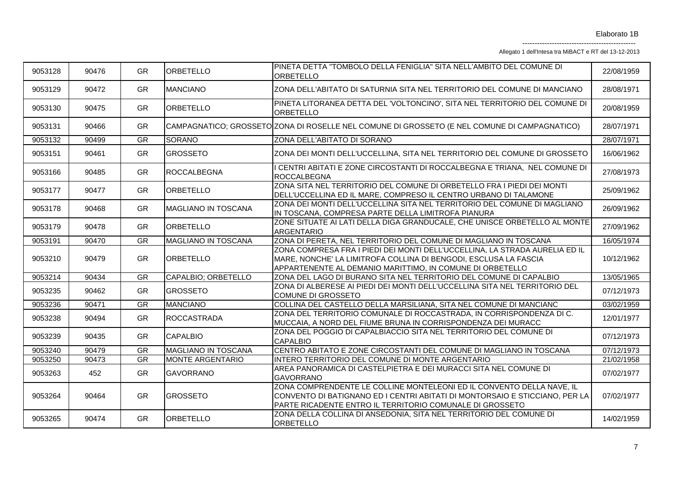Allegato 1 dell'Intesa tra MiBACT e RT del 13-12-2013

| 9053128 | 90476 | <b>GR</b>              | <b>ORBETELLO</b>           | PINETA DETTA "TOMBOLO DELLA FENIGLIA" SITA NELL'AMBITO DEL COMUNE DI<br>ORBETELLO                                                                                                                                | 22/08/1959 |
|---------|-------|------------------------|----------------------------|------------------------------------------------------------------------------------------------------------------------------------------------------------------------------------------------------------------|------------|
| 9053129 | 90472 | <b>GR</b>              | <b>MANCIANO</b>            | ZONA DELL'ABITATO DI SATURNIA SITA NEL TERRITORIO DEL COMUNE DI MANCIANO                                                                                                                                         | 28/08/1971 |
| 9053130 | 90475 | <b>GR</b>              | <b>ORBETELLO</b>           | PINETA LITORANEA DETTA DEL 'VOLTONCINO', SITA NEL TERRITORIO DEL COMUNE DI<br>ORBETELLO                                                                                                                          | 20/08/1959 |
| 9053131 | 90466 | <b>GR</b>              |                            | CAMPAGNATICO; GROSSETO ZONA DI ROSELLE NEL COMUNE DI GROSSETO (E NEL COMUNE DI CAMPAGNATICO)                                                                                                                     | 28/07/1971 |
| 9053132 | 90499 | GR                     | SORANO                     | ZONA DELL'ABITATO DI SORANO                                                                                                                                                                                      | 28/07/1971 |
| 9053151 | 90461 | <b>GR</b>              | <b>GROSSETO</b>            | ZONA DEI MONTI DELL'UCCELLINA, SITA NEL TERRITORIO DEL COMUNE DI GROSSETO                                                                                                                                        | 16/06/1962 |
| 9053166 | 90485 | <b>GR</b>              | <b>ROCCALBEGNA</b>         | I CENTRI ABITATI E ZONE CIRCOSTANTI DI ROCCALBEGNA E TRIANA, NEL COMUNE DI<br><b>ROCCALBEGNA</b>                                                                                                                 | 27/08/1973 |
| 9053177 | 90477 | <b>GR</b>              | <b>ORBETELLO</b>           | ZONA SITA NEL TERRITORIO DEL COMUNE DI ORBETELLO FRA I PIEDI DEI MONTI<br>DELL'UCCELLINA ED IL MARE, COMPRESO IL CENTRO URBANO DI TALAMONE                                                                       | 25/09/1962 |
| 9053178 | 90468 | <b>GR</b>              | <b>MAGLIANO IN TOSCANA</b> | ZONA DEI MONTI DELL'UCCELLINA SITA NEL TERRITORIO DEL COMUNE DI MAGLIANO<br>IN TOSCANA, COMPRESA PARTE DELLA LIMITROFA PIANURA                                                                                   | 26/09/1962 |
| 9053179 | 90478 | <b>GR</b>              | ORBETELLO                  | ZONE SITUATE AI LATI DELLA DIGA GRANDUCALE, CHE UNISCE ORBETELLO AL MONTE<br><b>ARGENTARIO</b>                                                                                                                   | 27/09/1962 |
| 9053191 | 90470 | GR                     | <b>MAGLIANO IN TOSCANA</b> | ZONA DI PERETA, NEL TERRITORIO DEL COMUNE DI MAGLIANO IN TOSCANA                                                                                                                                                 | 16/05/1974 |
| 9053210 | 90479 | <b>GR</b>              | <b>ORBETELLO</b>           | ZONA COMPRESA FRA I PIEDI DEI MONTI DELL'UCCELLINA, LA STRADA AURELIA ED IL<br>MARE, NONCHE' LA LIMITROFA COLLINA DI BENGODI, ESCLUSA LA FASCIA<br>APPARTENENTE AL DEMANIO MARITTIMO, IN COMUNE DI ORBETELLO     | 10/12/1962 |
| 9053214 | 90434 | GR                     | CAPALBIO; ORBETELLO        | ZONA DEL LAGO DI BURANO SITA NEL TERRITORIO DEL COMUNE DI CAPALBIO                                                                                                                                               | 13/05/1965 |
| 9053235 | 90462 | <b>GR</b>              | <b>GROSSETO</b>            | ZONA DI ALBERESE AI PIEDI DEI MONTI DELL'UCCELLINA SITA NEL TERRITORIO DEL<br><b>COMUNE DI GROSSETO</b>                                                                                                          | 07/12/1973 |
| 9053236 | 90471 | $\overline{\text{GR}}$ | <b>MANCIANO</b>            | COLLINA DEL CASTELLO DELLA MARSILIANA, SITA NEL COMUNE DI MANCIANO                                                                                                                                               | 03/02/1959 |
| 9053238 | 90494 | <b>GR</b>              | <b>ROCCASTRADA</b>         | ZONA DEL TERRITORIO COMUNALE DI ROCCASTRADA, IN CORRISPONDENZA DI C.<br>MUCCAIA, A NORD DEL FIUME BRUNA IN CORRISPONDENZA DEI MURACCI                                                                            | 12/01/1977 |
| 9053239 | 90435 | <b>GR</b>              | <b>CAPALBIO</b>            | ZONA DEL POGGIO DI CAPALBIACCIO SITA NEL TERRITORIO DEL COMUNE DI<br><b>CAPALBIO</b>                                                                                                                             | 07/12/1973 |
| 9053240 | 90479 | <b>GR</b>              | MAGLIANO IN TOSCANA        | CENTRO ABITATO E ZONE CIRCOSTANTI DEL COMUNE DI MAGLIANO IN TOSCANA                                                                                                                                              | 07/12/1973 |
| 9053250 | 90473 | <b>GR</b>              | MONTE ARGENTARIO           | INTERO TERRITORIO DEL COMUNE DI MONTE ARGENTARIO                                                                                                                                                                 | 21/02/1958 |
| 9053263 | 452   | <b>GR</b>              | <b>GAVORRANO</b>           | AREA PANORAMICA DI CASTELPIETRA E DEI MURACCI SITA NEL COMUNE DI<br><b>GAVORRANO</b>                                                                                                                             | 07/02/1977 |
| 9053264 | 90464 | <b>GR</b>              | <b>GROSSETO</b>            | ZONA COMPRENDENTE LE COLLINE MONTELEONI ED IL CONVENTO DELLA NAVE, IL<br>CONVENTO DI BATIGNANO ED I CENTRI ABITATI DI MONTORSAIO E STICCIANO, PER LA<br>PARTE RICADENTE ENTRO IL TERRITORIO COMUNALE DI GROSSETO | 07/02/1977 |
| 9053265 | 90474 | <b>GR</b>              | ORBETELLO                  | ZONA DELLA COLLINA DI ANSEDONIA, SITA NEL TERRITORIO DEL COMUNE DI<br>ORBETELLO                                                                                                                                  | 14/02/1959 |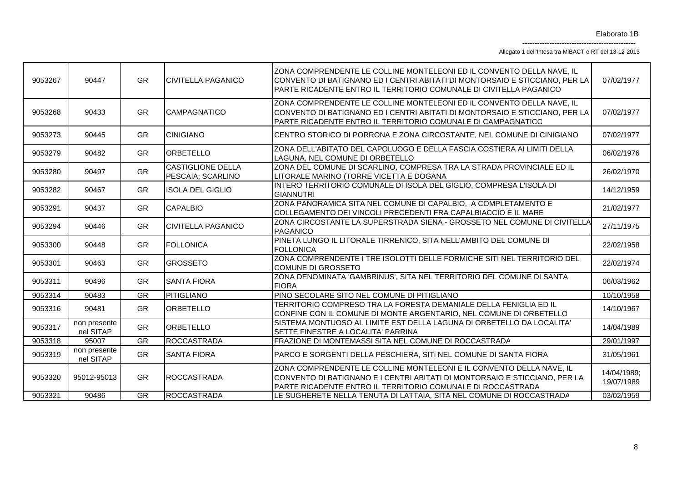Allegato 1 dell'Intesa tra MiBACT e RT del 13-12-2013

| 9053267 | 90447                     | <b>GR</b> | <b>CIVITELLA PAGANICO</b>                     | ZONA COMPRENDENTE LE COLLINE MONTELEONI ED IL CONVENTO DELLA NAVE, IL<br>CONVENTO DI BATIGNANO ED I CENTRI ABITATI DI MONTORSAIO E STICCIANO, PER LA<br>PARTE RICADENTE ENTRO IL TERRITORIO COMUNALE DI CIVITELLA PAGANICO | 07/02/1977                |
|---------|---------------------------|-----------|-----------------------------------------------|----------------------------------------------------------------------------------------------------------------------------------------------------------------------------------------------------------------------------|---------------------------|
| 9053268 | 90433                     | GR        | CAMPAGNATICO                                  | ZONA COMPRENDENTE LE COLLINE MONTELEONI ED IL CONVENTO DELLA NAVE, IL<br>CONVENTO DI BATIGNANO ED I CENTRI ABITATI DI MONTORSAIO E STICCIANO, PER LA<br>PARTE RICADENTE ENTRO IL TERRITORIO COMUNALE DI CAMPAGNATICO       | 07/02/1977                |
| 9053273 | 90445                     | <b>GR</b> | <b>CINIGIANO</b>                              | CENTRO STORICO DI PORRONA E ZONA CIRCOSTANTE, NEL COMUNE DI CINIGIANO                                                                                                                                                      | 07/02/1977                |
| 9053279 | 90482                     | GR        | <b>ORBETELLO</b>                              | ZONA DELL'ABITATO DEL CAPOLUOGO E DELLA FASCIA COSTIERA AI LIMITI DELLA<br>LAGUNA, NEL COMUNE DI ORBETELLO                                                                                                                 | 06/02/1976                |
| 9053280 | 90497                     | <b>GR</b> | <b>CASTIGLIONE DELLA</b><br>PESCAIA; SCARLINO | ZONA DEL COMUNE DI SCARLINO, COMPRESA TRA LA STRADA PROVINCIALE ED IL<br>LITORALE MARINO (TORRE VICETTA E DOGANA                                                                                                           | 26/02/1970                |
| 9053282 | 90467                     | <b>GR</b> | <b>ISOLA DEL GIGLIO</b>                       | INTERO TERRITORIO COMUNALE DI ISOLA DEL GIGLIO, COMPRESA L'ISOLA DI<br><b>GIANNUTRI</b>                                                                                                                                    | 14/12/1959                |
| 9053291 | 90437                     | GR        | <b>CAPALBIO</b>                               | ZONA PANORAMICA SITA NEL COMUNE DI CAPALBIO, A COMPLETAMENTO E<br>COLLEGAMENTO DEI VINCOLI PRECEDENTI FRA CAPALBIACCIO E IL MARE                                                                                           | 21/02/1977                |
| 9053294 | 90446                     | <b>GR</b> | <b>CIVITELLA PAGANICO</b>                     | ZONA CIRCOSTANTE LA SUPERSTRADA SIENA - GROSSETO NEL COMUNE DI CIVITELLA<br>PAGANICO                                                                                                                                       | 27/11/1975                |
| 9053300 | 90448                     | <b>GR</b> | <b>FOLLONICA</b>                              | PINETA LUNGO IL LITORALE TIRRENICO, SITA NELL'AMBITO DEL COMUNE DI<br><b>FOLLONICA</b>                                                                                                                                     | 22/02/1958                |
| 9053301 | 90463                     | <b>GR</b> | <b>GROSSETO</b>                               | ZONA COMPRENDENTE I TRE ISOLOTTI DELLE FORMICHE SITI NEL TERRITORIO DEL<br><b>COMUNE DI GROSSETO</b>                                                                                                                       | 22/02/1974                |
| 9053311 | 90496                     | <b>GR</b> | <b>SANTA FIORA</b>                            | ZONA DENOMINATA 'GAMBRINUS', SITA NEL TERRITORIO DEL COMUNE DI SANTA<br><b>FIORA</b>                                                                                                                                       | 06/03/1962                |
| 9053314 | 90483                     | <b>GR</b> | PITIGLIANO                                    | PINO SECOLARE SITO NEL COMUNE DI PITIGLIANO                                                                                                                                                                                | 10/10/1958                |
| 9053316 | 90481                     | <b>GR</b> | ORBETELLO                                     | TERRITORIO COMPRESO TRA LA FORESTA DEMANIALE DELLA FENIGLIA ED IL<br>CONFINE CON IL COMUNE DI MONTE ARGENTARIO, NEL COMUNE DI ORBETELLO                                                                                    | 14/10/1967                |
| 9053317 | non presente<br>nel SITAP | <b>GR</b> | ORBETELLO                                     | SISTEMA MONTUOSO AL LIMITE EST DELLA LAGUNA DI ORBETELLO DA LOCALITA'<br>SETTE FINESTRE A LOCALITA' PARRINA                                                                                                                | 14/04/1989                |
| 9053318 | 95007                     | GR        | <b>ROCCASTRADA</b>                            | FRAZIONE DI MONTEMASSI SITA NEL COMUNE DI ROCCASTRADA                                                                                                                                                                      | 29/01/1997                |
| 9053319 | non presente<br>nel SITAP | <b>GR</b> | <b>SANTA FIORA</b>                            | PARCO E SORGENTI DELLA PESCHIERA, SITI NEL COMUNE DI SANTA FIORA                                                                                                                                                           | 31/05/1961                |
| 9053320 | 95012-95013               | GR        | ROCCASTRADA                                   | ZONA COMPRENDENTE LE COLLINE MONTELEONI E IL CONVENTO DELLA NAVE, IL<br>CONVENTO DI BATIGNANO E I CENTRI ABITATI DI MONTORSAIO E STICCIANO, PER LA<br>PARTE RICADENTE ENTRO IL TERRITORIO COMUNALE DI ROCCASTRADA          | 14/04/1989;<br>19/07/1989 |
| 9053321 | 90486                     | <b>GR</b> | <b>ROCCASTRADA</b>                            | LE SUGHERETE NELLA TENUTA DI LATTAIA, SITA NEL COMUNE DI ROCCASTRADA                                                                                                                                                       | 03/02/1959                |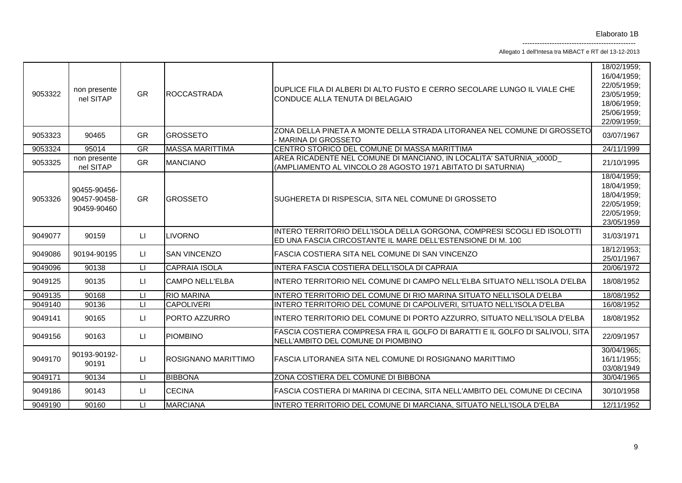Allegato 1 dell'Intesa tra MiBACT e RT del 13-12-2013

| 9053322 | non presente<br>nel SITAP                   | <b>GR</b>               | <b>ROCCASTRADA</b>     | DUPLICE FILA DI ALBERI DI ALTO FUSTO E CERRO SECOLARE LUNGO IL VIALE CHE<br>CONDUCE ALLA TENUTA DI BELAGAIO                            | 18/02/1959:<br>16/04/1959;<br>22/05/1959;<br>23/05/1959;<br>18/06/1959;<br>25/06/1959;<br>22/09/1959; |
|---------|---------------------------------------------|-------------------------|------------------------|----------------------------------------------------------------------------------------------------------------------------------------|-------------------------------------------------------------------------------------------------------|
| 9053323 | 90465                                       | <b>GR</b>               | <b>GROSSETO</b>        | ZONA DELLA PINETA A MONTE DELLA STRADA LITORANEA NEL COMUNE DI GROSSETO<br>- MARINA DI GROSSETO                                        | 03/07/1967                                                                                            |
| 9053324 | 95014                                       | GR                      | <b>MASSA MARITTIMA</b> | CENTRO STORICO DEL COMUNE DI MASSA MARITTIMA                                                                                           | 24/11/1999                                                                                            |
| 9053325 | non presente<br>nel SITAP                   | <b>GR</b>               | <b>MANCIANO</b>        | AREA RICADENTE NEL COMUNE DI MANCIANO, IN LOCALITA' SATURNIA x000D<br>(AMPLIAMENTO AL VINCOLO 28 AGOSTO 1971 ABITATO DI SATURNIA)      | 21/10/1995                                                                                            |
| 9053326 | 90455-90456-<br>90457-90458-<br>90459-90460 | <b>GR</b>               | <b>GROSSETO</b>        | SUGHERETA DI RISPESCIA, SITA NEL COMUNE DI GROSSETO                                                                                    | 18/04/1959;<br>18/04/1959;<br>18/04/1959;<br>22/05/1959;<br>22/05/1959;<br>23/05/1959                 |
| 9049077 | 90159                                       | LI.                     | <b>LIVORNO</b>         | INTERO TERRITORIO DELL'ISOLA DELLA GORGONA, COMPRESI SCOGLI ED ISOLOTTI<br>ED UNA FASCIA CIRCOSTANTE IL MARE DELL'ESTENSIONE DI M. 100 | 31/03/1971                                                                                            |
| 9049086 | 90194-90195                                 | LI.                     | <b>SAN VINCENZO</b>    | FASCIA COSTIERA SITA NEL COMUNE DI SAN VINCENZO                                                                                        | 18/12/1953;<br>25/01/1967                                                                             |
| 9049096 | 90138                                       | П                       | <b>CAPRAIA ISOLA</b>   | INTERA FASCIA COSTIERA DELL'ISOLA DI CAPRAIA                                                                                           | 20/06/1972                                                                                            |
| 9049125 | 90135                                       | LI.                     | <b>CAMPO NELL'ELBA</b> | INTERO TERRITORIO NEL COMUNE DI CAMPO NELL'ELBA SITUATO NELL'ISOLA D'ELBA                                                              | 18/08/1952                                                                                            |
| 9049135 | 90168                                       | $\mathsf{L} \mathsf{I}$ | <b>RIO MARINA</b>      | INTERO TERRITORIO DEL COMUNE DI RIO MARINA SITUATO NELL'ISOLA D'ELBA                                                                   | 18/08/1952                                                                                            |
| 9049140 | 90136                                       | LI                      | <b>CAPOLIVERI</b>      | INTERO TERRITORIO DEL COMUNE DI CAPOLIVERI, SITUATO NELL'ISOLA D'ELBA                                                                  | 16/08/1952                                                                                            |
| 9049141 | 90165                                       | П                       | PORTO AZZURRO          | INTERO TERRITORIO DEL COMUNE DI PORTO AZZURRO, SITUATO NELL'ISOLA D'ELBA                                                               | 18/08/1952                                                                                            |
| 9049156 | 90163                                       | LI.                     | <b>PIOMBINO</b>        | FASCIA COSTIERA COMPRESA FRA IL GOLFO DI BARATTI E IL GOLFO DI SALIVOLI, SITA<br>NELL'AMBITO DEL COMUNE DI PIOMBINO                    | 22/09/1957                                                                                            |
| 9049170 | 90193-90192-<br>90191                       | LI                      | ROSIGNANO MARITTIMO    | FASCIA LITORANEA SITA NEL COMUNE DI ROSIGNANO MARITTIMO                                                                                | 30/04/1965;<br>16/11/1955;<br>03/08/1949                                                              |
| 9049171 | 90134                                       | LI.                     | <b>BIBBONA</b>         | ZONA COSTIERA DEL COMUNE DI BIBBONA                                                                                                    | 30/04/1965                                                                                            |
| 9049186 | 90143                                       | $\mathsf{L}\mathsf{L}$  | <b>CECINA</b>          | FASCIA COSTIERA DI MARINA DI CECINA, SITA NELL'AMBITO DEL COMUNE DI CECINA                                                             | 30/10/1958                                                                                            |
| 9049190 | 90160                                       | $\sqcup$                | <b>MARCIANA</b>        | INTERO TERRITORIO DEL COMUNE DI MARCIANA, SITUATO NELL'ISOLA D'ELBA                                                                    | 12/11/1952                                                                                            |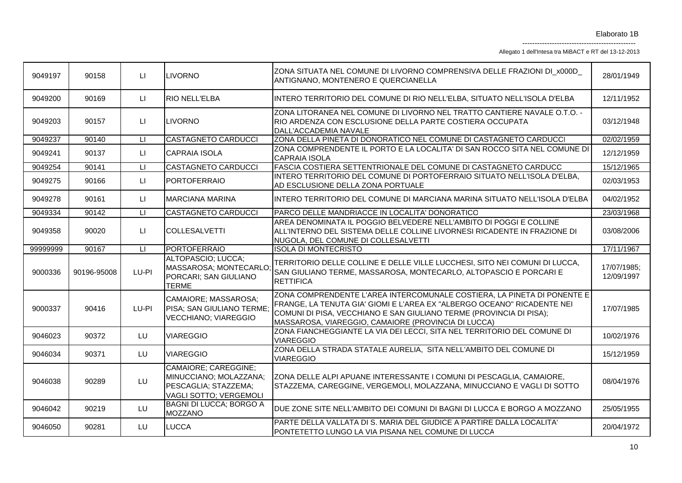Allegato 1 dell'Intesa tra MiBACT e RT del 13-12-2013

| 9049197  | 90158       | $\mathsf{L}$ | <b>LIVORNO</b>                                                                                   | ZONA SITUATA NEL COMUNE DI LIVORNO COMPRENSIVA DELLE FRAZIONI DI x000D<br>ANTIGNANO, MONTENERO E QUERCIANELLA                                                                                                                                                                    | 28/01/1949                |
|----------|-------------|--------------|--------------------------------------------------------------------------------------------------|----------------------------------------------------------------------------------------------------------------------------------------------------------------------------------------------------------------------------------------------------------------------------------|---------------------------|
| 9049200  | 90169       | LI.          | <b>RIO NELL'ELBA</b>                                                                             | INTERO TERRITORIO DEL COMUNE DI RIO NELL'ELBA, SITUATO NELL'ISOLA D'ELBA                                                                                                                                                                                                         | 12/11/1952                |
| 9049203  | 90157       | LI.          | <b>LIVORNO</b>                                                                                   | ZONA LITORANEA NEL COMUNE DI LIVORNO NEL TRATTO CANTIERE NAVALE O.T.O. -<br>RIO ARDENZA CON ESCLUSIONE DELLA PARTE COSTIERA OCCUPATA<br>DALL'ACCADEMIA NAVALE                                                                                                                    | 03/12/1948                |
| 9049237  | 90140       | LI.          | <b>CASTAGNETO CARDUCCI</b>                                                                       | ZONA DELLA PINETA DI DONORATICO NEL COMUNE DI CASTAGNETO CARDUCCI                                                                                                                                                                                                                | 02/02/1959                |
| 9049241  | 90137       | $\sqcup$     | <b>CAPRAIA ISOLA</b>                                                                             | ZONA COMPRENDENTE IL PORTO E LA LOCALITA' DI SAN ROCCO SITA NEL COMUNE DI<br><b>CAPRAIA ISOLA</b>                                                                                                                                                                                | 12/12/1959                |
| 9049254  | 90141       | $\mathsf{L}$ | <b>CASTAGNETO CARDUCCI</b>                                                                       | FASCIA COSTIERA SETTENTRIONALE DEL COMUNE DI CASTAGNETO CARDUCCI                                                                                                                                                                                                                 | 15/12/1965                |
| 9049275  | 90166       | $\sqcup$     | <b>PORTOFERRAIO</b>                                                                              | INTERO TERRITORIO DEL COMUNE DI PORTOFERRAIO SITUATO NELL'ISOLA D'ELBA,<br>AD ESCLUSIONE DELLA ZONA PORTUALE                                                                                                                                                                     | 02/03/1953                |
| 9049278  | 90161       | LI.          | <b>MARCIANA MARINA</b>                                                                           | INTERO TERRITORIO DEL COMUNE DI MARCIANA MARINA SITUATO NELL'ISOLA D'ELBA                                                                                                                                                                                                        | 04/02/1952                |
| 9049334  | 90142       | $\mathsf{L}$ | <b>CASTAGNETO CARDUCCI</b>                                                                       | PARCO DELLE MANDRIACCE IN LOCALITA' DONORATICO                                                                                                                                                                                                                                   | 23/03/1968                |
| 9049358  | 90020       | LI.          | <b>COLLESALVETTI</b>                                                                             | AREA DENOMINATA IL POGGIO BELVEDERE NELL'AMBITO DI POGGI E COLLINE<br>ALL'INTERNO DEL SISTEMA DELLE COLLINE LIVORNESI RICADENTE IN FRAZIONE DI<br>NUGOLA, DEL COMUNE DI COLLESALVETTI                                                                                            | 03/08/2006                |
| 99999999 | 90167       | $\sqcup$     | <b>PORTOFERRAIO</b>                                                                              | <b>ISOLA DI MONTECRISTO</b>                                                                                                                                                                                                                                                      | 17/11/1967                |
| 9000336  | 90196-95008 | LU-PI        | ALTOPASCIO; LUCCA;<br>MASSAROSA; MONTECARLO<br>PORCARI; SAN GIULIANO<br><b>TERME</b>             | TERRITORIO DELLE COLLINE E DELLE VILLE LUCCHESI, SITO NEI COMUNI DI LUCCA,<br>SAN GIULIANO TERME, MASSAROSA, MONTECARLO, ALTOPASCIO E PORCARI E<br><b>RETTIFICA</b>                                                                                                              | 17/07/1985;<br>12/09/1997 |
| 9000337  | 90416       | LU-PI        | CAMAIORE; MASSAROSA;<br>PISA; SAN GIULIANO TERME;<br><b>VECCHIANO; VIAREGGIO</b>                 | ZONA COMPRENDENTE L'AREA INTERCOMUNALE COSTIERA, LA PINETA DI PONENTE E<br>FRANGE, LA TENUTA GIA' GIOMI E L'AREA EX "ALBERGO OCEANO" RICADENTE NEI<br>COMUNI DI PISA, VECCHIANO E SAN GIULIANO TERME (PROVINCIA DI PISA);<br>MASSAROSA, VIAREGGIO, CAMAIORE (PROVINCIA DI LUCCA) | 17/07/1985                |
| 9046023  | 90372       | LU.          | <b>VIAREGGIO</b>                                                                                 | ZONA FIANCHEGGIANTE LA VIA DEI LECCI, SITA NEL TERRITORIO DEL COMUNE DI<br><b>VIAREGGIO</b>                                                                                                                                                                                      | 10/02/1976                |
| 9046034  | 90371       | LU           | <b>VIAREGGIO</b>                                                                                 | ZONA DELLA STRADA STATALE AURELIA, SITA NELL'AMBITO DEL COMUNE DI<br><b>VIAREGGIO</b>                                                                                                                                                                                            | 15/12/1959                |
| 9046038  | 90289       | LU.          | CAMAIORE; CAREGGINE;<br>MINUCCIANO; MOLAZZANA;<br>PESCAGLIA: STAZZEMA:<br>VAGLI SOTTO; VERGEMOLI | ZONA DELLE ALPI APUANE INTERESSANTE I COMUNI DI PESCAGLIA, CAMAIORE,<br>STAZZEMA, CAREGGINE, VERGEMOLI, MOLAZZANA, MINUCCIANO E VAGLI DI SOTTO                                                                                                                                   | 08/04/1976                |
| 9046042  | 90219       | LU           | <b>BAGNI DI LUCCA; BORGO A</b><br><b>MOZZANO</b>                                                 | DUE ZONE SITE NELL'AMBITO DEI COMUNI DI BAGNI DI LUCCA E BORGO A MOZZANO                                                                                                                                                                                                         | 25/05/1955                |
| 9046050  | 90281       | LU           | <b>LUCCA</b>                                                                                     | PARTE DELLA VALLATA DI S. MARIA DEL GIUDICE A PARTIRE DALLA LOCALITA'<br>PONTETETTO LUNGO LA VIA PISANA NEL COMUNE DI LUCCA                                                                                                                                                      | 20/04/1972                |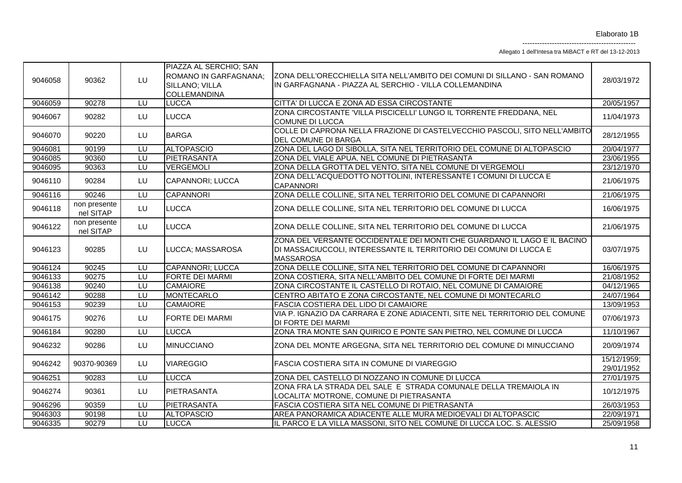Allegato 1 dell'Intesa tra MiBACT e RT del 13-12-2013

| 9046058 | 90362                     | LU | PIAZZA AL SERCHIO; SAN<br>ROMANO IN GARFAGNANA;<br>SILLANO; VILLA<br><b>COLLEMANDINA</b> | ZONA DELL'ORECCHIELLA SITA NELL'AMBITO DEI COMUNI DI SILLANO - SAN ROMANO<br>IN GARFAGNANA - PIAZZA AL SERCHIO - VILLA COLLEMANDINA                                | 28/03/1972                |
|---------|---------------------------|----|------------------------------------------------------------------------------------------|--------------------------------------------------------------------------------------------------------------------------------------------------------------------|---------------------------|
| 9046059 | 90278                     | LU | <b>LUCCA</b>                                                                             | CITTA' DI LUCCA E ZONA AD ESSA CIRCOSTANTE                                                                                                                         | 20/05/1957                |
| 9046067 | 90282                     | LU | <b>LUCCA</b>                                                                             | ZONA CIRCOSTANTE 'VILLA PISCICELLI' LUNGO IL TORRENTE FREDDANA, NEL<br><b>COMUNE DI LUCCA</b>                                                                      | 11/04/1973                |
| 9046070 | 90220                     | LU | <b>BARGA</b>                                                                             | COLLE DI CAPRONA NELLA FRAZIONE DI CASTELVECCHIO PASCOLI, SITO NELL'AMBITO<br><b>DEL COMUNE DI BARGA</b>                                                           | 28/12/1955                |
| 9046081 | 90199                     | LU | <b>ALTOPASCIO</b>                                                                        | ZONA DEL LAGO DI SIBOLLA, SITA NEL TERRITORIO DEL COMUNE DI ALTOPASCIO                                                                                             | 20/04/1977                |
| 9046085 | 90360                     | LU | PIETRASANTA                                                                              | ZONA DEL VIALE APUA, NEL COMUNE DI PIETRASANTA                                                                                                                     | 23/06/1955                |
| 9046095 | 90363                     | LU | <b>VERGEMOLI</b>                                                                         | ZONA DELLA GROTTA DEL VENTO, SITA NEL COMUNE DI VERGEMOLI                                                                                                          | 23/12/1970                |
| 9046110 | 90284                     | LU | CAPANNORI; LUCCA                                                                         | ZONA DELL'ACQUEDOTTO NOTTOLINI, INTERESSANTE I COMUNI DI LUCCA E<br><b>CAPANNORI</b>                                                                               | 21/06/1975                |
| 9046116 | 90246                     |    | <b>CAPANNORI</b>                                                                         | ZONA DELLE COLLINE, SITA NEL TERRITORIO DEL COMUNE DI CAPANNORI                                                                                                    | 21/06/1975                |
| 9046118 | non presente<br>nel SITAP | LU | <b>LUCCA</b>                                                                             | ZONA DELLE COLLINE, SITA NEL TERRITORIO DEL COMUNE DI LUCCA                                                                                                        | 16/06/1975                |
| 9046122 | non presente<br>nel SITAP | LU | <b>LUCCA</b>                                                                             | ZONA DELLE COLLINE, SITA NEL TERRITORIO DEL COMUNE DI LUCCA                                                                                                        | 21/06/1975                |
| 9046123 | 90285                     | LU | LUCCA; MASSAROSA                                                                         | ZONA DEL VERSANTE OCCIDENTALE DEI MONTI CHE GUARDANO IL LAGO E IL BACINO<br>DI MASSACIUCCOLI, INTERESSANTE IL TERRITORIO DEI COMUNI DI LUCCA E<br><b>MASSAROSA</b> | 03/07/1975                |
| 9046124 | 90245                     |    | <b>CAPANNORI; LUCCA</b>                                                                  | ZONA DELLE COLLINE, SITA NEL TERRITORIO DEL COMUNE DI CAPANNORI                                                                                                    | 16/06/1975                |
| 9046133 | 90275                     | LU | <b>FORTE DEI MARMI</b>                                                                   | ZONA COSTIERA, SITA NELL'AMBITO DEL COMUNE DI FORTE DEI MARMI                                                                                                      | 21/08/1952                |
| 9046138 | 90240                     | LU | <b>CAMAIORE</b>                                                                          | ZONA CIRCOSTANTE IL CASTELLO DI ROTAIO, NEL COMUNE DI CAMAIORE                                                                                                     | 04/12/1965                |
| 9046142 | 90288                     | LU | MONTECARLO                                                                               | CENTRO ABITATO E ZONA CIRCOSTANTE, NEL COMUNE DI MONTECARLO                                                                                                        | 24/07/1964                |
| 9046153 | 90239                     | LU | <b>CAMAIORE</b>                                                                          | <b>FASCIA COSTIERA DEL LIDO DI CAMAIORE</b>                                                                                                                        | 13/09/1953                |
| 9046175 | 90276                     | LU | <b>FORTE DEI MARMI</b>                                                                   | VIA P. IGNAZIO DA CARRARA E ZONE ADIACENTI, SITE NEL TERRITORIO DEL COMUNE<br><b>DI FORTE DEI MARMI</b>                                                            | 07/06/1973                |
| 9046184 | 90280                     | LU | <b>LUCCA</b>                                                                             | ZONA TRA MONTE SAN QUIRICO E PONTE SAN PIETRO, NEL COMUNE DI LUCCA                                                                                                 | 11/10/1967                |
| 9046232 | 90286                     | LU | <b>MINUCCIANO</b>                                                                        | ZONA DEL MONTE ARGEGNA, SITA NEL TERRITORIO DEL COMUNE DI MINUCCIANO                                                                                               | 20/09/1974                |
| 9046242 | 90370-90369               | LU | <b>VIAREGGIO</b>                                                                         | FASCIA COSTIERA SITA IN COMUNE DI VIAREGGIO                                                                                                                        | 15/12/1959;<br>29/01/1952 |
| 9046251 | 90283                     | LU | <b>LUCCA</b>                                                                             | ZONA DEL CASTELLO DI NOZZANO IN COMUNE DI LUCCA                                                                                                                    | 27/01/1975                |
| 9046274 | 90361                     | LU | PIETRASANTA                                                                              | ZONA FRA LA STRADA DEL SALE E STRADA COMUNALE DELLA TREMAIOLA IN<br>LOCALITA' MOTRONE, COMUNE DI PIETRASANTA                                                       | 10/12/1975                |
| 9046296 | 90359                     | LU | PIETRASANTA                                                                              | FASCIA COSTIERA SITA NEL COMUNE DI PIETRASANTA                                                                                                                     | 26/03/1953                |
| 9046303 | 90198                     | LU | <b>ALTOPASCIO</b>                                                                        | AREA PANORAMICA ADIACENTE ALLE MURA MEDIOEVALI DI ALTOPASCIC                                                                                                       | 22/09/1971                |
| 9046335 | 90279                     | LU | <b>LUCCA</b>                                                                             | IL PARCO E LA VILLA MASSONI, SITO NEL COMUNE DI LUCCA LOC. S. ALESSIO                                                                                              | 25/09/1958                |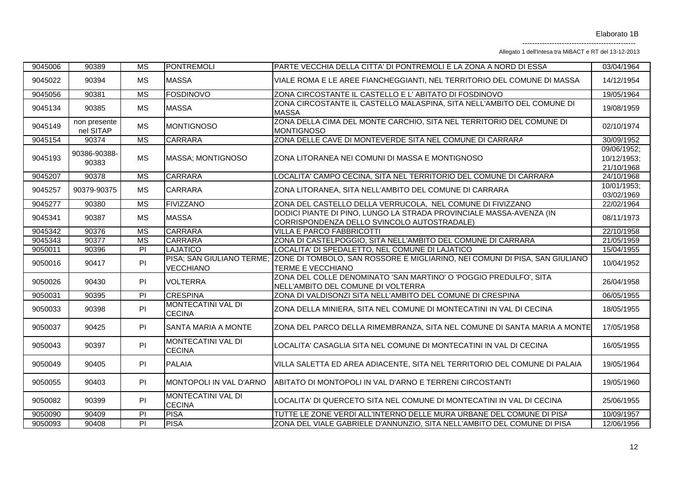Allegato 1 dell'Intesa tra MiBACT e RT del 13-12-2013

| 9045006 | 90389                     | <b>MS</b>              | <b>PONTREMOLI</b>                          | PARTE VECCHIA DELLA CITTA' DI PONTREMOLI E LA ZONA A NORD DI ESSA                                                          | 03/04/1964                               |
|---------|---------------------------|------------------------|--------------------------------------------|----------------------------------------------------------------------------------------------------------------------------|------------------------------------------|
| 9045022 | 90394                     | MS                     | <b>MASSA</b>                               | VIALE ROMA E LE AREE FIANCHEGGIANTI, NEL TERRITORIO DEL COMUNE DI MASSA                                                    | 14/12/1954                               |
| 9045056 | 90381                     | $\overline{\text{MS}}$ | <b>FOSDINOVO</b>                           | ZONA CIRCOSTANTE IL CASTELLO E L'ABITATO DI FOSDINOVO                                                                      | 19/05/1964                               |
| 9045134 | 90385                     | <b>MS</b>              | <b>MASSA</b>                               | ZONA CIRCOSTANTE IL CASTELLO MALASPINA, SITA NELL'AMBITO DEL COMUNE DI<br><b>MASSA</b>                                     | 19/08/1959                               |
| 9045149 | non presente<br>nel SITAP | <b>MS</b>              | <b>MONTIGNOSO</b>                          | ZONA DELLA CIMA DEL MONTE CARCHIO, SITA NEL TERRITORIO DEL COMUNE DI<br><b>MONTIGNOSO</b>                                  | 02/10/1974                               |
| 9045154 | 90374                     | <b>MS</b>              | <b>CARRARA</b>                             | ZONA DELLE CAVE DI MONTEVERDE SITA NEL COMUNE DI CARRARA                                                                   | 30/09/1952                               |
| 9045193 | 90386-90388-<br>90383     | <b>MS</b>              | MASSA; MONTIGNOSO                          | ZONA LITORANEA NEI COMUNI DI MASSA E MONTIGNOSO                                                                            | 09/06/1952;<br>10/12/1953;<br>21/10/1968 |
| 9045207 | 90378                     | $\overline{\text{MS}}$ | <b>CARRARA</b>                             | LOCALITA' CAMPO CECINA, SITA NEL TERRITORIO DEL COMUNE DI CARRARA                                                          | 24/10/1968                               |
| 9045257 | 90379-90375               | <b>MS</b>              | <b>CARRARA</b>                             | ZONA LITORANEA, SITA NELL'AMBITO DEL COMUNE DI CARRARA                                                                     | 10/01/1953;<br>03/02/1969                |
| 9045277 | 90380                     | $\overline{\text{MS}}$ | <b>FIVIZZANO</b>                           | ZONA DEL CASTELLO DELLA VERRUCOLA, NEL COMUNE DI FIVIZZANO                                                                 | 22/02/1964                               |
| 9045341 | 90387                     | <b>MS</b>              | <b>MASSA</b>                               | DODICI PIANTE DI PINO, LUNGO LA STRADA PROVINCIALE MASSA-AVENZA (IN<br>CORRISPONDENZA DELLO SVINCOLO AUTOSTRADALE)         | 08/11/1973                               |
| 9045342 | 90376                     | $\overline{\text{MS}}$ | <b>CARRARA</b>                             | VILLA E PARCO FABBRICOTTI                                                                                                  | 22/10/1958                               |
| 9045343 | 90377                     | $\overline{\text{MS}}$ | CARRARA                                    | ZONA DI CASTELPOGGIO, SITA NELL'AMBITO DEL COMUNE DI CARRARA                                                               | 21/05/1959                               |
| 9050011 | 90396                     | PI                     | <b>LAJATICO</b>                            | LOCALITA' DI SPEDALETTO, NEL COMUNE DI LAJATICO                                                                            | 15/04/1955                               |
| 9050016 | 90417                     | PI                     | <b>VECCHIANO</b>                           | PISA; SAN GIULIANO TERME; ZONE DI TOMBOLO, SAN ROSSORE E MIGLIARINO, NEI COMUNI DI PISA, SAN GIULIANO<br>TERME E VECCHIANO | 10/04/1952                               |
| 9050026 | 90430                     | PI                     | <b>VOLTERRA</b>                            | ZONA DEL COLLE DENOMINATO 'SAN MARTINO' O 'POGGIO PREDULFO', SITA<br>NELL'AMBITO DEL COMUNE DI VOLTERRA                    | 26/04/1958                               |
| 9050031 | 90395                     | PI                     | <b>CRESPINA</b>                            | ZONA DI VALDISONZI SITA NELL'AMBITO DEL COMUNE DI CRESPINA                                                                 | 06/05/1955                               |
| 9050033 | 90398                     | PI                     | MONTECATINI VAL DI<br><b>CECINA</b>        | ZONA DELLA MINIERA, SITA NEL COMUNE DI MONTECATINI IN VAL DI CECINA                                                        | 18/05/1955                               |
| 9050037 | 90425                     | PI                     | SANTA MARIA A MONTE                        | ZONA DEL PARCO DELLA RIMEMBRANZA, SITA NEL COMUNE DI SANTA MARIA A MONTE                                                   | 17/05/1958                               |
| 9050043 | 90397                     | PI                     | <b>MONTECATINI VAL DI</b><br><b>CECINA</b> | LOCALITA' CASAGLIA SITA NEL COMUNE DI MONTECATINI IN VAL DI CECINA                                                         | 16/05/1955                               |
| 9050049 | 90405                     | PI                     | <b>PALAIA</b>                              | VILLA SALETTA ED AREA ADIACENTE, SITA NEL TERRITORIO DEL COMUNE DI PALAIA                                                  | 19/05/1964                               |
| 9050055 | 90403                     | PI                     | MONTOPOLI IN VAL D'ARNO                    | ABITATO DI MONTOPOLI IN VAL D'ARNO E TERRENI CIRCOSTANTI                                                                   | 19/05/1960                               |
| 9050082 | 90399                     | PI                     | MONTECATINI VAL DI<br><b>CECINA</b>        | LOCALITA' DI QUERCETO SITA NEL COMUNE DI MONTECATINI IN VAL DI CECINA                                                      | 25/06/1955                               |
| 9050090 | 90409                     | $\overline{P}$         | <b>PISA</b>                                | TUTTE LE ZONE VERDI ALL'INTERNO DELLE MURA URBANE DEL COMUNE DI PISA                                                       | 10/09/1957                               |
| 9050093 | 90408                     | $\overline{PI}$        | <b>PISA</b>                                | ZONA DEL VIALE GABRIELE D'ANNUNZIO, SITA NELL'AMBITO DEL COMUNE DI PISA                                                    | 12/06/1956                               |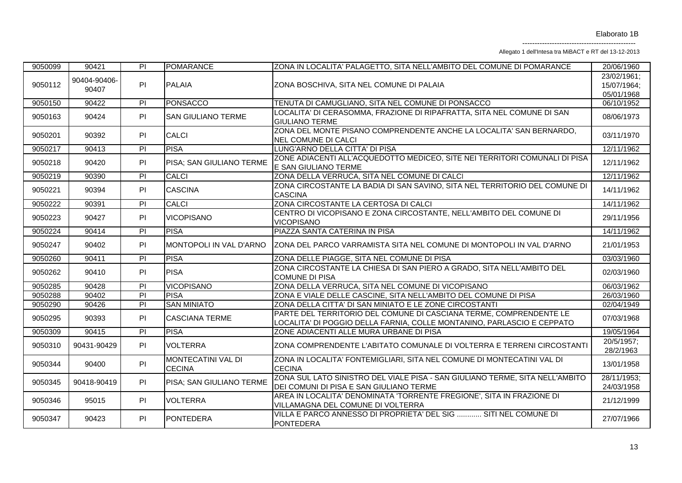Allegato 1 dell'Intesa tra MiBACT e RT del 13-12-2013

| 9050099 | 90421                 | PI              | <b>POMARANCE</b>                           | ZONA IN LOCALITA' PALAGETTO, SITA NELL'AMBITO DEL COMUNE DI POMARANCE                                                                        | 20/06/1960                               |
|---------|-----------------------|-----------------|--------------------------------------------|----------------------------------------------------------------------------------------------------------------------------------------------|------------------------------------------|
| 9050112 | 90404-90406-<br>90407 | PI              | <b>PALAIA</b>                              | ZONA BOSCHIVA, SITA NEL COMUNE DI PALAIA                                                                                                     | 23/02/1961;<br>15/07/1964;<br>05/01/1968 |
| 9050150 | 90422                 | PI              | <b>PONSACCO</b>                            | TENUTA DI CAMUGLIANO, SITA NEL COMUNE DI PONSACCO                                                                                            | 06/10/1952                               |
| 9050163 | 90424                 | PI              | <b>SAN GIULIANO TERME</b>                  | LOCALITA' DI CERASOMMA, FRAZIONE DI RIPAFRATTA, SITA NEL COMUNE DI SAN<br><b>GIULIANO TERME</b>                                              | 08/06/1973                               |
| 9050201 | 90392                 | PI              | <b>CALCI</b>                               | ZONA DEL MONTE PISANO COMPRENDENTE ANCHE LA LOCALITA' SAN BERNARDO,<br><b>NEL COMUNE DI CALCI</b>                                            | 03/11/1970                               |
| 9050217 | 90413                 | PI              | <b>PISA</b>                                | LUNG'ARNO DELLA CITTA' DI PISA                                                                                                               | 12/11/1962                               |
| 9050218 | 90420                 | PI              | PISA; SAN GIULIANO TERME                   | ZONE ADIACENTI ALL'ACQUEDOTTO MEDICEO, SITE NEI TERRITORI COMUNALI DI PISA<br>E SAN GIULIANO TERME                                           | 12/11/1962                               |
| 9050219 | 90390                 | $\overline{P}$  | <b>CALCI</b>                               | ZONA DELLA VERRUCA, SITA NEL COMUNE DI CALCI                                                                                                 | 12/11/1962                               |
| 9050221 | 90394                 | PI              | <b>CASCINA</b>                             | ZONA CIRCOSTANTE LA BADIA DI SAN SAVINO, SITA NEL TERRITORIO DEL COMUNE DI<br><b>CASCINA</b>                                                 | 14/11/1962                               |
| 9050222 | 90391                 | $\overline{PI}$ | <b>CALCI</b>                               | ZONA CIRCOSTANTE LA CERTOSA DI CALCI                                                                                                         | 14/11/1962                               |
| 9050223 | 90427                 | PI              | <b>VICOPISANO</b>                          | CENTRO DI VICOPISANO E ZONA CIRCOSTANTE, NELL'AMBITO DEL COMUNE DI<br><b>VICOPISANO</b>                                                      | 29/11/1956                               |
| 9050224 | 90414                 | $\overline{P}$  | <b>PISA</b>                                | PIAZZA SANTA CATERINA IN PISA                                                                                                                | 14/11/1962                               |
| 9050247 | 90402                 | PI              | MONTOPOLI IN VAL D'ARNO                    | ZONA DEL PARCO VARRAMISTA SITA NEL COMUNE DI MONTOPOLI IN VAL D'ARNO                                                                         | 21/01/1953                               |
| 9050260 | 90411                 | PI              | <b>PISA</b>                                | ZONA DELLE PIAGGE, SITA NEL COMUNE DI PISA                                                                                                   | 03/03/1960                               |
| 9050262 | 90410                 | PI              | <b>PISA</b>                                | ZONA CIRCOSTANTE LA CHIESA DI SAN PIERO A GRADO, SITA NELL'AMBITO DEL<br><b>COMUNE DI PISA</b>                                               | 02/03/1960                               |
| 9050285 | 90428                 | $\overline{P}$  | <b>VICOPISANO</b>                          | ZONA DELLA VERRUCA, SITA NEL COMUNE DI VICOPISANO                                                                                            | 06/03/1962                               |
| 9050288 | 90402                 | P               | <b>PISA</b>                                | ZONA E VIALE DELLE CASCINE, SITA NELL'AMBITO DEL COMUNE DI PISA                                                                              | 26/03/1960                               |
| 9050290 | 90426                 | $\overline{P}$  | <b>SAN MINIATO</b>                         | ZONA DELLA CITTA' DI SAN MINIATO E LE ZONE CIRCOSTANTI                                                                                       | 02/04/1949                               |
| 9050295 | 90393                 | PI              | <b>CASCIANA TERME</b>                      | PARTE DEL TERRITORIO DEL COMUNE DI CASCIANA TERME, COMPRENDENTE LE<br>LOCALITA' DI POGGIO DELLA FARNIA, COLLE MONTANINO, PARLASCIO E CEPPATO | 07/03/1968                               |
| 9050309 | 90415                 | $\overline{P}$  | <b>PISA</b>                                | ZONE ADIACENTI ALLE MURA URBANE DI PISA                                                                                                      | 19/05/1964                               |
| 9050310 | 90431-90429           | PI              | <b>VOLTERRA</b>                            | ZONA COMPRENDENTE L'ABITATO COMUNALE DI VOLTERRA E TERRENI CIRCOSTANTI                                                                       | 20/5/1957;<br>28/2/1963                  |
| 9050344 | 90400                 | PI              | <b>MONTECATINI VAL DI</b><br><b>CECINA</b> | ZONA IN LOCALITA' FONTEMIGLIARI, SITA NEL COMUNE DI MONTECATINI VAL DI<br><b>CECINA</b>                                                      | 13/01/1958                               |
| 9050345 | 90418-90419           | PI              | PISA; SAN GIULIANO TERME                   | ZONA SUL LATO SINISTRO DEL VIALE PISA - SAN GIULIANO TERME, SITA NELL'AMBITO<br>DEI COMUNI DI PISA E SAN GIULIANO TERME                      | 28/11/1953;<br>24/03/1958                |
| 9050346 | 95015                 | PI              | <b>VOLTERRA</b>                            | AREA IN LOCALITA' DENOMINATA 'TORRENTE FREGIONE', SITA IN FRAZIONE DI<br>VILLAMAGNA DEL COMUNE DI VOLTERRA                                   | 21/12/1999                               |
| 9050347 | 90423                 | PI              | PONTEDERA                                  | VILLA E PARCO ANNESSO DI PROPRIETA' DEL SIG  SITI NEL COMUNE DI<br>PONTEDERA                                                                 | 27/07/1966                               |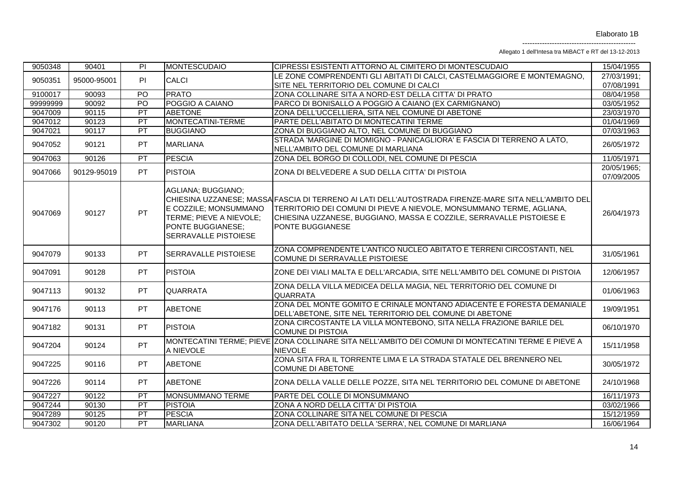Allegato 1 dell'Intesa tra MiBACT e RT del 13-12-2013

| 9050348  | 90401       | PI        | <b>MONTESCUDAIO</b>                                                                                                        | CIPRESSI ESISTENTI ATTORNO AL CIMITERO DI MONTESCUDAIO                                                                                                                                                                                                                   | 15/04/1955                |
|----------|-------------|-----------|----------------------------------------------------------------------------------------------------------------------------|--------------------------------------------------------------------------------------------------------------------------------------------------------------------------------------------------------------------------------------------------------------------------|---------------------------|
| 9050351  | 95000-95001 | PI        | <b>CALCI</b>                                                                                                               | LE ZONE COMPRENDENTI GLI ABITATI DI CALCI, CASTELMAGGIORE E MONTEMAGNO,                                                                                                                                                                                                  | 27/03/1991;               |
|          |             |           |                                                                                                                            | SITE NEL TERRITORIO DEL COMUNE DI CALCI                                                                                                                                                                                                                                  | 07/08/1991                |
| 9100017  | 90093       | PO        | <b>PRATO</b>                                                                                                               | ZONA COLLINARE SITA A NORD-EST DELLA CITTA' DI PRATO                                                                                                                                                                                                                     | 08/04/1958                |
| 99999999 | 90092       | PO        | POGGIO A CAIANO                                                                                                            | PARCO DI BONISALLO A POGGIO A CAIANO (EX CARMIGNANO)                                                                                                                                                                                                                     | 03/05/1952                |
| 9047009  | 90115       | PT        | <b>ABETONE</b>                                                                                                             | ZONA DELL'UCCELLIERA, SITA NEL COMUNE DI ABETONE                                                                                                                                                                                                                         | 23/03/1970                |
| 9047012  | 90123       | PT        | MONTECATINI-TERME                                                                                                          | PARTE DELL'ABITATO DI MONTECATINI TERME                                                                                                                                                                                                                                  | 01/04/1969                |
| 9047021  | 90117       | PT        | <b>BUGGIANO</b>                                                                                                            | ZONA DI BUGGIANO ALTO, NEL COMUNE DI BUGGIANO                                                                                                                                                                                                                            | 07/03/1963                |
| 9047052  | 90121       | PT        | <b>MARLIANA</b>                                                                                                            | STRADA 'MARGINE DI MOMIGNO - PANICAGLIORA' E FASCIA DI TERRENO A LATO,<br>NELL'AMBITO DEL COMUNE DI MARLIANA                                                                                                                                                             | 26/05/1972                |
| 9047063  | 90126       | PT        | <b>PESCIA</b>                                                                                                              | ZONA DEL BORGO DI COLLODI, NEL COMUNE DI PESCIA                                                                                                                                                                                                                          | 11/05/1971                |
| 9047066  | 90129-95019 | <b>PT</b> | <b>PISTOIA</b>                                                                                                             | ZONA DI BELVEDERE A SUD DELLA CITTA' DI PISTOIA                                                                                                                                                                                                                          | 20/05/1965;<br>07/09/2005 |
| 9047069  | 90127       | <b>PT</b> | AGLIANA; BUGGIANO;<br>E COZZILE; MONSUMMANO<br>TERME; PIEVE A NIEVOLE;<br>PONTE BUGGIANESE;<br><b>SERRAVALLE PISTOIESE</b> | CHIESINA UZZANESE; MASSA FASCIA DI TERRENO AI LATI DELL'AUTOSTRADA FIRENZE-MARE SITA NELL'AMBITO DEL<br>TERRITORIO DEI COMUNI DI PIEVE A NIEVOLE, MONSUMMANO TERME, AGLIANA,<br>CHIESINA UZZANESE, BUGGIANO, MASSA E COZZILE, SERRAVALLE PISTOIESE E<br>PONTE BUGGIANESE | 26/04/1973                |
| 9047079  | 90133       | <b>PT</b> | <b>SERRAVALLE PISTOIESE</b>                                                                                                | ZONA COMPRENDENTE L'ANTICO NUCLEO ABITATO E TERRENI CIRCOSTANTI, NEL<br>COMUNE DI SERRAVALLE PISTOIESE                                                                                                                                                                   | 31/05/1961                |
| 9047091  | 90128       | <b>PT</b> | <b>PISTOIA</b>                                                                                                             | ZONE DEI VIALI MALTA E DELL'ARCADIA, SITE NELL'AMBITO DEL COMUNE DI PISTOIA                                                                                                                                                                                              | 12/06/1957                |
| 9047113  | 90132       | <b>PT</b> | <b>QUARRATA</b>                                                                                                            | ZONA DELLA VILLA MEDICEA DELLA MAGIA, NEL TERRITORIO DEL COMUNE DI<br><b>QUARRATA</b>                                                                                                                                                                                    | 01/06/1963                |
| 9047176  | 90113       | <b>PT</b> | <b>ABETONE</b>                                                                                                             | ZONA DEL MONTE GOMITO E CRINALE MONTANO ADIACENTE E FORESTA DEMANIALE<br>DELL'ABETONE, SITE NEL TERRITORIO DEL COMUNE DI ABETONE                                                                                                                                         | 19/09/1951                |
| 9047182  | 90131       | <b>PT</b> | <b>PISTOIA</b>                                                                                                             | ZONA CIRCOSTANTE LA VILLA MONTEBONO, SITA NELLA FRAZIONE BARILE DEL<br><b>COMUNE DI PISTOIA</b>                                                                                                                                                                          | 06/10/1970                |
| 9047204  | 90124       | <b>PT</b> | A NIEVOLE                                                                                                                  | MONTECATINI TERME; PIEVE ZONA COLLINARE SITA NELL'AMBITO DEI COMUNI DI MONTECATINI TERME E PIEVE A<br><b>NIEVOLE</b>                                                                                                                                                     | 15/11/1958                |
| 9047225  | 90116       | <b>PT</b> | <b>ABETONE</b>                                                                                                             | ZONA SITA FRA IL TORRENTE LIMA E LA STRADA STATALE DEL BRENNERO NEL<br><b>COMUNE DI ABETONE</b>                                                                                                                                                                          | 30/05/1972                |
| 9047226  | 90114       | <b>PT</b> | <b>ABETONE</b>                                                                                                             | ZONA DELLA VALLE DELLE POZZE, SITA NEL TERRITORIO DEL COMUNE DI ABETONE                                                                                                                                                                                                  | 24/10/1968                |
| 9047227  | 90122       | PT        | MONSUMMANO TERME                                                                                                           | PARTE DEL COLLE DI MONSUMMANO                                                                                                                                                                                                                                            | 16/11/1973                |
| 9047244  | 90130       | PT        | <b>PISTOIA</b>                                                                                                             | ZONA A NORD DELLA CITTA' DI PISTOIA                                                                                                                                                                                                                                      | 03/02/1966                |
| 9047289  | 90125       | PT        | <b>PESCIA</b>                                                                                                              | ZONA COLLINARE SITA NEL COMUNE DI PESCIA                                                                                                                                                                                                                                 | 15/12/1959                |
| 9047302  | 90120       | PT        | <b>MARLIANA</b>                                                                                                            | ZONA DELL'ABITATO DELLA 'SERRA', NEL COMUNE DI MARLIANA                                                                                                                                                                                                                  | 16/06/1964                |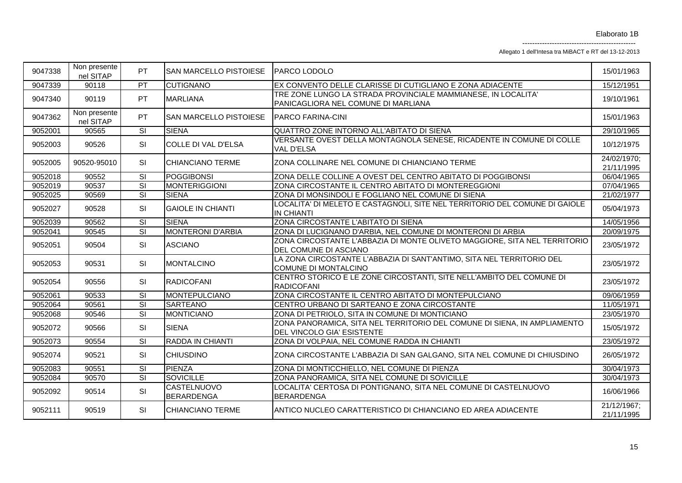Allegato 1 dell'Intesa tra MiBACT e RT del 13-12-2013

| 9047338 | Non presente<br>nel SITAP | PT                       | SAN MARCELLO PISTOIESE   PARCO LODOLO |                                                                                                        | 15/01/1963                |
|---------|---------------------------|--------------------------|---------------------------------------|--------------------------------------------------------------------------------------------------------|---------------------------|
| 9047339 | 90118                     | PT                       | <b>CUTIGNANO</b>                      | EX CONVENTO DELLE CLARISSE DI CUTIGLIANO E ZONA ADIACENTE                                              | 15/12/1951                |
| 9047340 | 90119                     | <b>PT</b>                | <b>MARLIANA</b>                       | TRE ZONE LUNGO LA STRADA PROVINCIALE MAMMIANESE, IN LOCALITA'<br>PANICAGLIORA NEL COMUNE DI MARLIANA   | 19/10/1961                |
| 9047362 | Non presente<br>nel SITAP | <b>PT</b>                | SAN MARCELLO PISTOIESE                | <b>PARCO FARINA-CINI</b>                                                                               | 15/01/1963                |
| 9052001 | 90565                     | $\overline{\text{SI}}$   | <b>SIENA</b>                          | QUATTRO ZONE INTORNO ALL'ABITATO DI SIENA                                                              | 29/10/1965                |
| 9052003 | 90526                     | SI                       | COLLE DI VAL D'ELSA                   | VERSANTE OVEST DELLA MONTAGNOLA SENESE, RICADENTE IN COMUNE DI COLLE<br>VAL D'ELSA                     | 10/12/1975                |
| 9052005 | 90520-95010               | SI                       | <b>CHIANCIANO TERME</b>               | ZONA COLLINARE NEL COMUNE DI CHIANCIANO TERME                                                          | 24/02/1970;<br>21/11/1995 |
| 9052018 | 90552                     | $\overline{\mathbf{s}}$  | <b>POGGIBONSI</b>                     | ZONA DELLE COLLINE A OVEST DEL CENTRO ABITATO DI POGGIBONSI                                            | 06/04/1965                |
| 9052019 | 90537                     | $\overline{\text{SI}}$   | <b>MONTERIGGIONI</b>                  | ZONA CIRCOSTANTE IL CENTRO ABITATO DI MONTEREGGIONI                                                    | 07/04/1965                |
| 9052025 | 90569                     | $\overline{\text{SI}}$   | <b>SIENA</b>                          | ZONA DI MONSINDOLI E FOGLIANO NEL COMUNE DI SIENA                                                      | 21/02/1977                |
| 9052027 | 90528                     | SI                       | <b>GAIOLE IN CHIANTI</b>              | LOCALITA' DI MELETO E CASTAGNOLI, SITE NEL TERRITORIO DEL COMUNE DI GAIOLE<br><b>IN CHIANTI</b>        | 05/04/1973                |
| 9052039 | 90562                     | $\overline{\text{SI}}$   | <b>SIENA</b>                          | ZONA CIRCOSTANTE L'ABITATO DI SIENA                                                                    | 14/05/1956                |
| 9052041 | 90545                     | $\overline{\text{SI}}$   | <b>MONTERONI D'ARBIA</b>              | ZONA DI LUCIGNANO D'ARBIA, NEL COMUNE DI MONTERONI DI ARBIA                                            | 20/09/1975                |
| 9052051 | 90504                     | SI                       | <b>ASCIANO</b>                        | ZONA CIRCOSTANTE L'ABBAZIA DI MONTE OLIVETO MAGGIORE, SITA NEL TERRITORIO<br>DEL COMUNE DI ASCIANO     | 23/05/1972                |
| 9052053 | 90531                     | <b>SI</b>                | <b>MONTALCINO</b>                     | LA ZONA CIRCOSTANTE L'ABBAZIA DI SANT'ANTIMO, SITA NEL TERRITORIO DEL<br>COMUNE DI MONTALCINO          | 23/05/1972                |
| 9052054 | 90556                     | <b>SI</b>                | <b>RADICOFANI</b>                     | CENTRO STORICO E LE ZONE CIRCOSTANTI, SITE NELL'AMBITO DEL COMUNE DI<br><b>RADICOFANI</b>              | 23/05/1972                |
| 9052061 | 90533                     | $\overline{\text{SI}}$   | <b>MONTEPULCIANO</b>                  | ZONA CIRCOSTANTE IL CENTRO ABITATO DI MONTEPULCIANO                                                    | 09/06/1959                |
| 9052064 | 90561                     | $\overline{\mathsf{SI}}$ | <b>SARTEANO</b>                       | CENTRO URBANO DI SARTEANO E ZONA CIRCOSTANTE                                                           | 11/05/1971                |
| 9052068 | 90546                     | $\overline{\mathbf{s}}$  | <b>MONTICIANO</b>                     | ZONA DI PETRIOLO, SITA IN COMUNE DI MONTICIANO                                                         | 23/05/1970                |
| 9052072 | 90566                     | <b>SI</b>                | <b>SIENA</b>                          | ZONA PANORAMICA, SITA NEL TERRITORIO DEL COMUNE DI SIENA, IN AMPLIAMENTO<br>DEL VINCOLO GIA' ESISTENTE | 15/05/1972                |
| 9052073 | 90554                     | $\overline{\mathbf{s}}$  | <b>RADDA IN CHIANTI</b>               | ZONA DI VOLPAIA, NEL COMUNE RADDA IN CHIANTI                                                           | 23/05/1972                |
| 9052074 | 90521                     | SI                       | <b>CHIUSDINO</b>                      | ZONA CIRCOSTANTE L'ABBAZIA DI SAN GALGANO, SITA NEL COMUNE DI CHIUSDINO                                | 26/05/1972                |
| 9052083 | 90551                     | $\overline{\text{SI}}$   | <b>PIENZA</b>                         | ZONA DI MONTICCHIELLO, NEL COMUNE DI PIENZA                                                            | 30/04/1973                |
| 9052084 | 90570                     | $\overline{\mathsf{SI}}$ | <b>SOVICILLE</b>                      | ZONA PANORAMICA, SITA NEL COMUNE DI SOVICILLE                                                          | 30/04/1973                |
| 9052092 | 90514                     | <b>SI</b>                | CASTELNUOVO<br><b>BERARDENGA</b>      | LOCALITA' CERTOSA DI PONTIGNANO, SITA NEL COMUNE DI CASTELNUOVO<br><b>BERARDENGA</b>                   | 16/06/1966                |
| 9052111 | 90519                     | SI                       | <b>CHIANCIANO TERME</b>               | ANTICO NUCLEO CARATTERISTICO DI CHIANCIANO ED AREA ADIACENTE                                           | 21/12/1967;<br>21/11/1995 |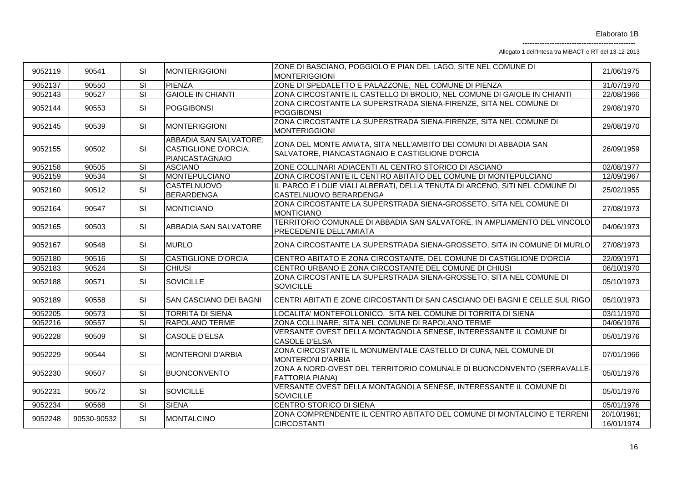Allegato 1 dell'Intesa tra MiBACT e RT del 13-12-2013

| 9052119 | 90541       | SI                      | <b>MONTERIGGIONI</b>                                                           | ZONE DI BASCIANO, POGGIOLO E PIAN DEL LAGO, SITE NEL COMUNE DI<br><b>MONTERIGGIONI</b>                               | 21/06/1975                |
|---------|-------------|-------------------------|--------------------------------------------------------------------------------|----------------------------------------------------------------------------------------------------------------------|---------------------------|
| 9052137 | 90550       | $\overline{\mathbf{s}}$ | <b>PIENZA</b>                                                                  | ZONE DI SPEDALETTO E PALAZZONE, NEL COMUNE DI PIENZA                                                                 | 31/07/1970                |
| 9052143 | 90527       | $\overline{\text{SI}}$  | <b>GAIOLE IN CHIANTI</b>                                                       | ZONA CIRCOSTANTE IL CASTELLO DI BROLIO, NEL COMUNE DI GAIOLE IN CHIANTI                                              | 22/08/1966                |
| 9052144 | 90553       | SI                      | <b>POGGIBONSI</b>                                                              | ZONA CIRCOSTANTE LA SUPERSTRADA SIENA-FIRENZE, SITA NEL COMUNE DI<br><b>POGGIBONSI</b>                               | 29/08/1970                |
| 9052145 | 90539       | SI                      | <b>MONTERIGGIONI</b>                                                           | ZONA CIRCOSTANTE LA SUPERSTRADA SIENA-FIRENZE, SITA NEL COMUNE DI<br><b>MONTERIGGIONI</b>                            | 29/08/1970                |
| 9052155 | 90502       | SI                      | <b>ABBADIA SAN SALVATORE;</b><br><b>CASTIGLIONE D'ORCIA;</b><br>PIANCASTAGNAIO | ZONA DEL MONTE AMIATA, SITA NELL'AMBITO DEI COMUNI DI ABBADIA SAN<br>SALVATORE, PIANCASTAGNAIO E CASTIGLIONE D'ORCIA | 26/09/1959                |
| 9052158 | 90505       | $\overline{\mathsf{S}}$ | <b>ASCIANO</b>                                                                 | ZONE COLLINARI ADIACENTI AL CENTRO STORICO DI ASCIANO                                                                | 02/08/1977                |
| 9052159 | 90534       | $\overline{\mathbf{s}}$ | MONTEPULCIANO                                                                  | ZONA CIRCOSTANTE IL CENTRO ABITATO DEL COMUNE DI MONTEPULCIANO                                                       | 12/09/1967                |
| 9052160 | 90512       | SI                      | <b>CASTELNUOVO</b><br><b>BERARDENGA</b>                                        | IL PARCO E I DUE VIALI ALBERATI, DELLA TENUTA DI ARCENO, SITI NEL COMUNE DI<br>CASTELNUOVO BERARDENGA                | 25/02/1955                |
| 9052164 | 90547       | SI                      | <b>MONTICIANO</b>                                                              | ZONA CIRCOSTANTE LA SUPERSTRADA SIENA-GROSSETO, SITA NEL COMUNE DI<br><b>MONTICIANO</b>                              | 27/08/1973                |
| 9052165 | 90503       | SI                      | ABBADIA SAN SALVATORE                                                          | TERRITORIO COMUNALE DI ABBADIA SAN SALVATORE, IN AMPLIAMENTO DEL VINCOLO<br><b>PRECEDENTE DELL'AMIATA</b>            | 04/06/1973                |
| 9052167 | 90548       | SI                      | <b>MURLO</b>                                                                   | ZONA CIRCOSTANTE LA SUPERSTRADA SIENA-GROSSETO, SITA IN COMUNE DI MURLO                                              | 27/08/1973                |
| 9052180 | 90516       | SI                      | <b>CASTIGLIONE D'ORCIA</b>                                                     | CENTRO ABITATO E ZONA CIRCOSTANTE, DEL COMUNE DI CASTIGLIONE D'ORCIA                                                 | 22/09/1971                |
| 9052183 | 90524       | $\overline{\mathbf{s}}$ | <b>CHIUSI</b>                                                                  | CENTRO URBANO E ZONA CIRCOSTANTE DEL COMUNE DI CHIUSI                                                                | 06/10/1970                |
| 9052188 | 90571       | SI                      | <b>SOVICILLE</b>                                                               | ZONA CIRCOSTANTE LA SUPERSTRADA SIENA-GROSSETO, SITA NEL COMUNE DI<br><b>SOVICILLE</b>                               | 05/10/1973                |
| 9052189 | 90558       | <b>SI</b>               | <b>SAN CASCIANO DEI BAGNI</b>                                                  | CENTRI ABITATI E ZONE CIRCOSTANTI DI SAN CASCIANO DEI BAGNI E CELLE SUL RIGO                                         | 05/10/1973                |
| 9052205 | 90573       | SI                      | <b>TORRITA DI SIENA</b>                                                        | LOCALITA' MONTEFOLLONICO, SITA NEL COMUNE DI TORRITA DI SIENA                                                        | 03/11/1970                |
| 9052216 | 90557       | $\overline{\mathbf{s}}$ | <b>RAPOLANO TERME</b>                                                          | ZONA COLLINARE, SITA NEL COMUNE DI RAPOLANO TERME                                                                    | 04/06/1976                |
| 9052228 | 90509       | SI                      | <b>CASOLE D'ELSA</b>                                                           | VERSANTE OVEST DELLA MONTAGNOLA SENESE, INTERESSANTE IL COMUNE DI<br><b>CASOLE D'ELSA</b>                            | 05/01/1976                |
| 9052229 | 90544       | SI                      | <b>MONTERONI D'ARBIA</b>                                                       | ZONA CIRCOSTANTE IL MONUMENTALE CASTELLO DI CUNA, NEL COMUNE DI<br><b>MONTERONI D'ARBIA</b>                          | 07/01/1966                |
| 9052230 | 90507       | SI                      | <b>BUONCONVENTO</b>                                                            | ZONA A NORD-OVEST DEL TERRITORIO COMUNALE DI BUONCONVENTO (SERRAVALLE-<br><b>FATTORIA PIANA)</b>                     | 05/01/1976                |
| 9052231 | 90572       | SI                      | <b>SOVICILLE</b>                                                               | VERSANTE OVEST DELLA MONTAGNOLA SENESE, INTERESSANTE IL COMUNE DI<br><b>SOVICILLE</b>                                | 05/01/1976                |
| 9052234 | 90568       | $\overline{\mathsf{S}}$ | <b>SIENA</b>                                                                   | CENTRO STORICO DI SIENA                                                                                              | 05/01/1976                |
| 9052248 | 90530-90532 | SI                      | <b>MONTALCINO</b>                                                              | ZONA COMPRENDENTE IL CENTRO ABITATO DEL COMUNE DI MONTALCINO E TERRENI<br><b>CIRCOSTANTI</b>                         | 20/10/1961;<br>16/01/1974 |